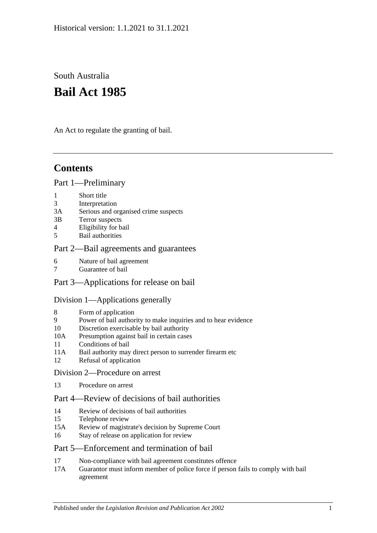# South Australia **Bail Act 1985**

An Act to regulate the granting of bail.

# **Contents**

### [Part 1—Preliminary](#page-1-0)

- 1 [Short title](#page-1-1)
- 3 [Interpretation](#page-1-2)
- 3A [Serious and organised crime suspects](#page-3-0)
- 3B [Terror suspects](#page-4-0)
- 4 [Eligibility for bail](#page-4-1)
- 5 [Bail authorities](#page-5-0)

## [Part 2—Bail agreements and guarantees](#page-6-0)

- 6 [Nature of bail agreement](#page-6-1)
- 7 [Guarantee of bail](#page-7-0)

## Part [3—Applications for release on bail](#page-8-0)

## [Division 1—Applications generally](#page-8-1)

- 8 [Form of application](#page-8-2)
- 9 [Power of bail authority to make inquiries and to hear evidence](#page-9-0)
- 10 [Discretion exercisable by bail authority](#page-9-1)
- 10A [Presumption against bail in certain cases](#page-10-0)
- 11 [Conditions of bail](#page-11-0)
- 11A [Bail authority may direct person to surrender firearm etc](#page-16-0)
- 12 [Refusal of application](#page-16-1)

### [Division 2—Procedure on arrest](#page-16-2)

13 [Procedure on arrest](#page-16-3)

## [Part 4—Review of decisions of bail authorities](#page-17-0)

- 14 [Review of decisions of bail authorities](#page-17-1)
- 15 [Telephone review](#page-18-0)
- 15A [Review of magistrate's decision by Supreme Court](#page-19-0)
- 16 [Stay of release on application for review](#page-20-0)

## [Part 5—Enforcement and termination of bail](#page-20-1)

- 17 [Non-compliance with bail agreement constitutes offence](#page-20-2)
- 17A [Guarantor must inform member of police force if person fails to comply with bail](#page-21-0)  [agreement](#page-21-0)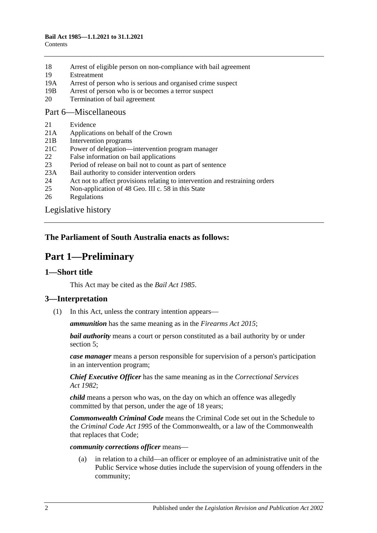- 18 [Arrest of eligible person on non-compliance with bail agreement](#page-21-1)
- 19 [Estreatment](#page-21-2)
- 19A [Arrest of person who is serious and organised crime suspect](#page-22-0)
- 19B [Arrest of person who is or becomes a terror suspect](#page-22-1)
- 20 [Termination of bail agreement](#page-23-0)

#### [Part 6—Miscellaneous](#page-23-1)

- 21 [Evidence](#page-23-2)
- 21A [Applications on behalf of the Crown](#page-23-3)
- 21B [Intervention programs](#page-23-4)
- 21C [Power of delegation—intervention program manager](#page-24-0)
- 22 [False information on bail applications](#page-25-0)
- 23 [Period of release on bail not to count as part of sentence](#page-25-1)
- 23A [Bail authority to consider intervention orders](#page-25-2)
- 24 [Act not to affect provisions relating to intervention and restraining orders](#page-25-3)
- 25 [Non-application of 48 Geo. III c. 58 in this State](#page-26-0)
- 26 [Regulations](#page-26-1)

[Legislative history](#page-27-0)

#### <span id="page-1-0"></span>**The Parliament of South Australia enacts as follows:**

## **Part 1—Preliminary**

#### <span id="page-1-1"></span>**1—Short title**

This Act may be cited as the *Bail Act 1985*.

#### <span id="page-1-2"></span>**3—Interpretation**

(1) In this Act, unless the contrary intention appears—

*ammunition* has the same meaning as in the *[Firearms Act](http://www.legislation.sa.gov.au/index.aspx?action=legref&type=act&legtitle=Firearms%20Act%202015) 2015*;

*bail authority* means a court or person constituted as a bail authority by or under [section](#page-5-0) 5;

*case manager* means a person responsible for supervision of a person's participation in an intervention program;

*Chief Executive Officer* has the same meaning as in the *[Correctional Services](http://www.legislation.sa.gov.au/index.aspx?action=legref&type=act&legtitle=Correctional%20Services%20Act%201982)  Act [1982](http://www.legislation.sa.gov.au/index.aspx?action=legref&type=act&legtitle=Correctional%20Services%20Act%201982)*;

*child* means a person who was, on the day on which an offence was allegedly committed by that person, under the age of 18 years;

*Commonwealth Criminal Code* means the Criminal Code set out in the Schedule to the *Criminal Code Act 1995* of the Commonwealth, or a law of the Commonwealth that replaces that Code;

#### *community corrections officer* means—

(a) in relation to a child—an officer or employee of an administrative unit of the Public Service whose duties include the supervision of young offenders in the community;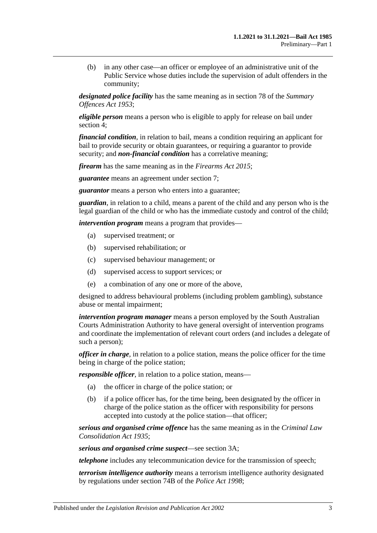(b) in any other case—an officer or employee of an administrative unit of the Public Service whose duties include the supervision of adult offenders in the community;

*designated police facility* has the same meaning as in section 78 of the *[Summary](http://www.legislation.sa.gov.au/index.aspx?action=legref&type=act&legtitle=Summary%20Offences%20Act%201953)  [Offences Act](http://www.legislation.sa.gov.au/index.aspx?action=legref&type=act&legtitle=Summary%20Offences%20Act%201953) 1953*;

*eligible person* means a person who is eligible to apply for release on bail under [section](#page-4-1) 4;

*financial condition*, in relation to bail, means a condition requiring an applicant for bail to provide security or obtain guarantees, or requiring a guarantor to provide security; and *non-financial condition* has a correlative meaning;

*firearm* has the same meaning as in the *[Firearms Act](http://www.legislation.sa.gov.au/index.aspx?action=legref&type=act&legtitle=Firearms%20Act%202015) 2015*;

*guarantee* means an agreement under [section](#page-7-0) 7;

*guarantor* means a person who enters into a guarantee;

*guardian*, in relation to a child, means a parent of the child and any person who is the legal guardian of the child or who has the immediate custody and control of the child;

*intervention program* means a program that provides—

- (a) supervised treatment; or
- (b) supervised rehabilitation; or
- (c) supervised behaviour management; or
- (d) supervised access to support services; or
- (e) a combination of any one or more of the above,

designed to address behavioural problems (including problem gambling), substance abuse or mental impairment;

*intervention program manager* means a person employed by the South Australian Courts Administration Authority to have general oversight of intervention programs and coordinate the implementation of relevant court orders (and includes a delegate of such a person);

*officer in charge*, in relation to a police station, means the police officer for the time being in charge of the police station;

*responsible officer*, in relation to a police station, means—

- (a) the officer in charge of the police station; or
- (b) if a police officer has, for the time being, been designated by the officer in charge of the police station as the officer with responsibility for persons accepted into custody at the police station—that officer;

*serious and organised crime offence* has the same meaning as in the *[Criminal Law](http://www.legislation.sa.gov.au/index.aspx?action=legref&type=act&legtitle=Criminal%20Law%20Consolidation%20Act%201935)  [Consolidation Act](http://www.legislation.sa.gov.au/index.aspx?action=legref&type=act&legtitle=Criminal%20Law%20Consolidation%20Act%201935) 1935*;

*serious and organised crime suspect*—see [section](#page-3-0) 3A;

*telephone* includes any telecommunication device for the transmission of speech;

*terrorism intelligence authority* means a terrorism intelligence authority designated by regulations under section 74B of the *[Police Act](http://www.legislation.sa.gov.au/index.aspx?action=legref&type=act&legtitle=Police%20Act%201998) 1998*;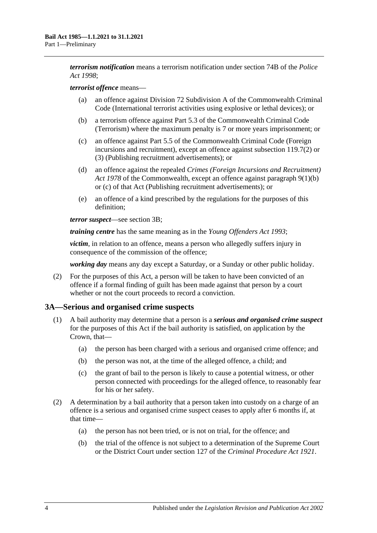*terrorism notification* means a terrorism notification under section 74B of the *[Police](http://www.legislation.sa.gov.au/index.aspx?action=legref&type=act&legtitle=Police%20Act%201998)  Act [1998](http://www.legislation.sa.gov.au/index.aspx?action=legref&type=act&legtitle=Police%20Act%201998)*;

#### *terrorist offence* means—

- (a) an offence against Division 72 Subdivision A of the Commonwealth Criminal Code (International terrorist activities using explosive or lethal devices); or
- (b) a terrorism offence against Part 5.3 of the Commonwealth Criminal Code (Terrorism) where the maximum penalty is 7 or more years imprisonment; or
- (c) an offence against Part 5.5 of the Commonwealth Criminal Code (Foreign incursions and recruitment), except an offence against subsection 119.7(2) or (3) (Publishing recruitment advertisements); or
- (d) an offence against the repealed *Crimes (Foreign Incursions and Recruitment) Act 1978* of the Commonwealth, except an offence against paragraph 9(1)(b) or (c) of that Act (Publishing recruitment advertisements); or
- (e) an offence of a kind prescribed by the regulations for the purposes of this definition;

*terror suspect*—see [section](#page-4-0) 3B;

*training centre* has the same meaning as in the *[Young Offenders Act](http://www.legislation.sa.gov.au/index.aspx?action=legref&type=act&legtitle=Young%20Offenders%20Act%201993) 1993*;

*victim*, in relation to an offence, means a person who allegedly suffers injury in consequence of the commission of the offence;

*working day* means any day except a Saturday, or a Sunday or other public holiday.

(2) For the purposes of this Act, a person will be taken to have been convicted of an offence if a formal finding of guilt has been made against that person by a court whether or not the court proceeds to record a conviction.

#### <span id="page-3-0"></span>**3A—Serious and organised crime suspects**

- <span id="page-3-3"></span><span id="page-3-2"></span>(1) A bail authority may determine that a person is a *serious and organised crime suspect* for the purposes of this Act if the bail authority is satisfied, on application by the Crown, that—
	- (a) the person has been charged with a serious and organised crime offence; and
	- (b) the person was not, at the time of the alleged offence, a child; and
	- (c) the grant of bail to the person is likely to cause a potential witness, or other person connected with proceedings for the alleged offence, to reasonably fear for his or her safety.
- <span id="page-3-4"></span><span id="page-3-1"></span>(2) A determination by a bail authority that a person taken into custody on a charge of an offence is a serious and organised crime suspect ceases to apply after 6 months if, at that time—
	- (a) the person has not been tried, or is not on trial, for the offence; and
	- (b) the trial of the offence is not subject to a determination of the Supreme Court or the District Court under section 127 of the *[Criminal Procedure Act](http://www.legislation.sa.gov.au/index.aspx?action=legref&type=act&legtitle=Criminal%20Procedure%20Act%201921) 1921*.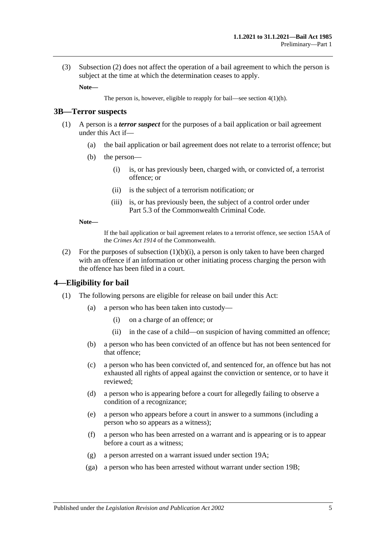(3) [Subsection](#page-3-1) (2) does not affect the operation of a bail agreement to which the person is subject at the time at which the determination ceases to apply.

**Note—**

The person is, however, eligible to reapply for bail—see section [4\(1\)\(h\).](#page-5-1)

#### <span id="page-4-0"></span>**3B—Terror suspects**

- <span id="page-4-2"></span>(1) A person is a *terror suspect* for the purposes of a bail application or bail agreement under this Act if—
	- (a) the bail application or bail agreement does not relate to a terrorist offence; but
	- (b) the person—
		- (i) is, or has previously been, charged with, or convicted of, a terrorist offence; or
		- (ii) is the subject of a terrorism notification; or
		- (iii) is, or has previously been, the subject of a control order under Part 5.3 of the Commonwealth Criminal Code.

#### **Note—**

If the bail application or bail agreement relates to a terrorist offence, see section 15AA of the *Crimes Act 1914* of the Commonwealth.

(2) For the purposes of [subsection](#page-4-2)  $(1)(b)(i)$ , a person is only taken to have been charged with an offence if an information or other initiating process charging the person with the offence has been filed in a court.

#### <span id="page-4-1"></span>**4—Eligibility for bail**

- (1) The following persons are eligible for release on bail under this Act:
	- (a) a person who has been taken into custody—
		- (i) on a charge of an offence; or
		- (ii) in the case of a child—on suspicion of having committed an offence;
	- (b) a person who has been convicted of an offence but has not been sentenced for that offence;
	- (c) a person who has been convicted of, and sentenced for, an offence but has not exhausted all rights of appeal against the conviction or sentence, or to have it reviewed;
	- (d) a person who is appearing before a court for allegedly failing to observe a condition of a recognizance;
	- (e) a person who appears before a court in answer to a summons (including a person who so appears as a witness);
	- (f) a person who has been arrested on a warrant and is appearing or is to appear before a court as a witness;
	- (g) a person arrested on a warrant issued under [section](#page-22-0) 19A;
	- (ga) a person who has been arrested without warrant under [section](#page-22-1) 19B;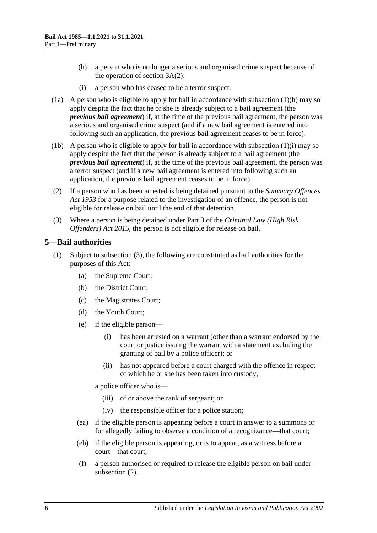- <span id="page-5-1"></span>(h) a person who is no longer a serious and organised crime suspect because of the operation of [section](#page-3-1) 3A(2);
- (i) a person who has ceased to be a terror suspect.
- <span id="page-5-2"></span>(1a) A person who is eligible to apply for bail in accordance with [subsection](#page-5-1) (1)(h) may so apply despite the fact that he or she is already subject to a bail agreement (the *previous bail agreement*) if, at the time of the previous bail agreement, the person was a serious and organised crime suspect (and if a new bail agreement is entered into following such an application, the previous bail agreement ceases to be in force).
- (1b) A person who is eligible to apply for bail in accordance with [subsection](#page-5-2) (1)(i) may so apply despite the fact that the person is already subject to a bail agreement (the *previous bail agreement*) if, at the time of the previous bail agreement, the person was a terror suspect (and if a new bail agreement is entered into following such an application, the previous bail agreement ceases to be in force).
- (2) If a person who has been arrested is being detained pursuant to the *[Summary Offences](http://www.legislation.sa.gov.au/index.aspx?action=legref&type=act&legtitle=Summary%20Offences%20Act%201953)  Act [1953](http://www.legislation.sa.gov.au/index.aspx?action=legref&type=act&legtitle=Summary%20Offences%20Act%201953)* for a purpose related to the investigation of an offence, the person is not eligible for release on bail until the end of that detention.
- (3) Where a person is being detained under Part 3 of the *[Criminal Law \(High Risk](http://www.legislation.sa.gov.au/index.aspx?action=legref&type=act&legtitle=Criminal%20Law%20(High%20Risk%20Offenders)%20Act%202015)  [Offenders\) Act](http://www.legislation.sa.gov.au/index.aspx?action=legref&type=act&legtitle=Criminal%20Law%20(High%20Risk%20Offenders)%20Act%202015) 2015*, the person is not eligible for release on bail.

### <span id="page-5-3"></span><span id="page-5-0"></span>**5—Bail authorities**

- (1) Subject to [subsection](#page-6-2) (3), the following are constituted as bail authorities for the purposes of this Act:
	- (a) the Supreme Court;
	- (b) the District Court;
	- (c) the Magistrates Court;
	- (d) the Youth Court;
	- (e) if the eligible person—
		- (i) has been arrested on a warrant (other than a warrant endorsed by the court or justice issuing the warrant with a statement excluding the granting of bail by a police officer); or
		- (ii) has not appeared before a court charged with the offence in respect of which he or she has been taken into custody,

a police officer who is—

- (iii) of or above the rank of sergeant; or
- (iv) the responsible officer for a police station;
- (ea) if the eligible person is appearing before a court in answer to a summons or for allegedly failing to observe a condition of a recognizance—that court;
- (eb) if the eligible person is appearing, or is to appear, as a witness before a court—that court;
- (f) a person authorised or required to release the eligible person on bail under [subsection](#page-6-3) (2).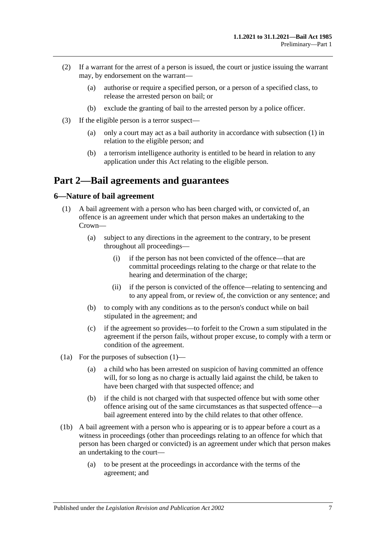- <span id="page-6-3"></span>(2) If a warrant for the arrest of a person is issued, the court or justice issuing the warrant may, by endorsement on the warrant—
	- (a) authorise or require a specified person, or a person of a specified class, to release the arrested person on bail; or
	- (b) exclude the granting of bail to the arrested person by a police officer.
- <span id="page-6-2"></span>(3) If the eligible person is a terror suspect—
	- (a) only a court may act as a bail authority in accordance with [subsection](#page-5-3) (1) in relation to the eligible person; and
	- (b) a terrorism intelligence authority is entitled to be heard in relation to any application under this Act relating to the eligible person.

## <span id="page-6-0"></span>**Part 2—Bail agreements and guarantees**

### <span id="page-6-4"></span><span id="page-6-1"></span>**6—Nature of bail agreement**

- (1) A bail agreement with a person who has been charged with, or convicted of, an offence is an agreement under which that person makes an undertaking to the Crown—
	- (a) subject to any directions in the agreement to the contrary, to be present throughout all proceedings—
		- (i) if the person has not been convicted of the offence—that are committal proceedings relating to the charge or that relate to the hearing and determination of the charge;
		- (ii) if the person is convicted of the offence—relating to sentencing and to any appeal from, or review of, the conviction or any sentence; and
	- (b) to comply with any conditions as to the person's conduct while on bail stipulated in the agreement; and
	- (c) if the agreement so provides—to forfeit to the Crown a sum stipulated in the agreement if the person fails, without proper excuse, to comply with a term or condition of the agreement.
- (1a) For the purposes of [subsection](#page-6-4) (1)—
	- (a) a child who has been arrested on suspicion of having committed an offence will, for so long as no charge is actually laid against the child, be taken to have been charged with that suspected offence; and
	- (b) if the child is not charged with that suspected offence but with some other offence arising out of the same circumstances as that suspected offence—a bail agreement entered into by the child relates to that other offence.
- (1b) A bail agreement with a person who is appearing or is to appear before a court as a witness in proceedings (other than proceedings relating to an offence for which that person has been charged or convicted) is an agreement under which that person makes an undertaking to the court—
	- (a) to be present at the proceedings in accordance with the terms of the agreement; and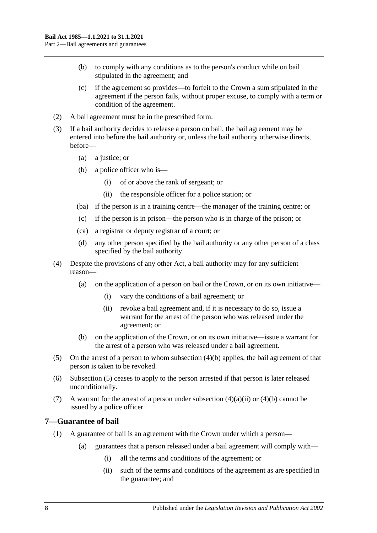- (b) to comply with any conditions as to the person's conduct while on bail stipulated in the agreement; and
- (c) if the agreement so provides—to forfeit to the Crown a sum stipulated in the agreement if the person fails, without proper excuse, to comply with a term or condition of the agreement.
- (2) A bail agreement must be in the prescribed form.
- (3) If a bail authority decides to release a person on bail, the bail agreement may be entered into before the bail authority or, unless the bail authority otherwise directs, before—
	- (a) a justice; or
	- (b) a police officer who is—
		- (i) of or above the rank of sergeant; or
		- (ii) the responsible officer for a police station; or
	- (ba) if the person is in a training centre—the manager of the training centre; or
	- (c) if the person is in prison—the person who is in charge of the prison; or
	- (ca) a registrar or deputy registrar of a court; or
	- (d) any other person specified by the bail authority or any other person of a class specified by the bail authority.
- <span id="page-7-2"></span>(4) Despite the provisions of any other Act, a bail authority may for any sufficient reason—
	- (a) on the application of a person on bail or the Crown, or on its own initiative—
		- (i) vary the conditions of a bail agreement; or
		- (ii) revoke a bail agreement and, if it is necessary to do so, issue a warrant for the arrest of the person who was released under the agreement; or
	- (b) on the application of the Crown, or on its own initiative—issue a warrant for the arrest of a person who was released under a bail agreement.
- <span id="page-7-1"></span>(5) On the arrest of a person to whom subsection (4)(b) applies, the bail agreement of that person is taken to be revoked.
- (6) [Subsection](#page-7-1) (5) ceases to apply to the person arrested if that person is later released unconditionally.
- (7) A warrant for the arrest of a person under [subsection](#page-7-2)  $(4)(a)(ii)$  or  $(4)(b)$  cannot be issued by a police officer.

## <span id="page-7-0"></span>**7—Guarantee of bail**

- (1) A guarantee of bail is an agreement with the Crown under which a person—
	- (a) guarantees that a person released under a bail agreement will comply with—
		- (i) all the terms and conditions of the agreement; or
		- (ii) such of the terms and conditions of the agreement as are specified in the guarantee; and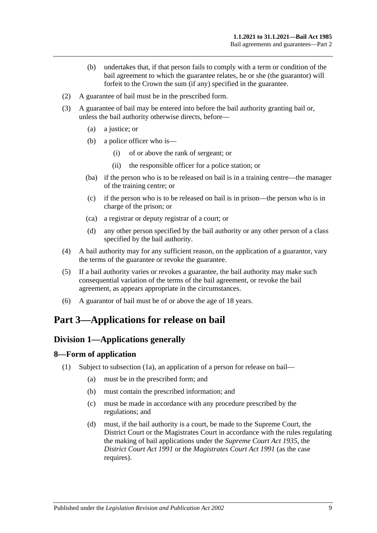- (b) undertakes that, if that person fails to comply with a term or condition of the bail agreement to which the guarantee relates, he or she (the guarantor) will forfeit to the Crown the sum (if any) specified in the guarantee.
- (2) A guarantee of bail must be in the prescribed form.
- (3) A guarantee of bail may be entered into before the bail authority granting bail or, unless the bail authority otherwise directs, before—
	- (a) a justice; or
	- (b) a police officer who is—
		- (i) of or above the rank of sergeant; or
		- (ii) the responsible officer for a police station; or
	- (ba) if the person who is to be released on bail is in a training centre—the manager of the training centre; or
	- (c) if the person who is to be released on bail is in prison—the person who is in charge of the prison; or
	- (ca) a registrar or deputy registrar of a court; or
	- (d) any other person specified by the bail authority or any other person of a class specified by the bail authority.
- (4) A bail authority may for any sufficient reason, on the application of a guarantor, vary the terms of the guarantee or revoke the guarantee.
- (5) If a bail authority varies or revokes a guarantee, the bail authority may make such consequential variation of the terms of the bail agreement, or revoke the bail agreement, as appears appropriate in the circumstances.
- (6) A guarantor of bail must be of or above the age of 18 years.

# <span id="page-8-1"></span><span id="page-8-0"></span>**Part 3—Applications for release on bail**

## **Division 1—Applications generally**

#### <span id="page-8-3"></span><span id="page-8-2"></span>**8—Form of application**

- (1) Subject to [subsection](#page-9-2) (1a), an application of a person for release on bail—
	- (a) must be in the prescribed form; and
	- (b) must contain the prescribed information; and
	- (c) must be made in accordance with any procedure prescribed by the regulations; and
	- (d) must, if the bail authority is a court, be made to the Supreme Court, the District Court or the Magistrates Court in accordance with the rules regulating the making of bail applications under the *[Supreme Court Act](http://www.legislation.sa.gov.au/index.aspx?action=legref&type=act&legtitle=Supreme%20Court%20Act%201935) 1935*, the *[District Court Act](http://www.legislation.sa.gov.au/index.aspx?action=legref&type=act&legtitle=District%20Court%20Act%201991) 1991* or the *[Magistrates Court Act](http://www.legislation.sa.gov.au/index.aspx?action=legref&type=act&legtitle=Magistrates%20Court%20Act%201991) 1991* (as the case requires).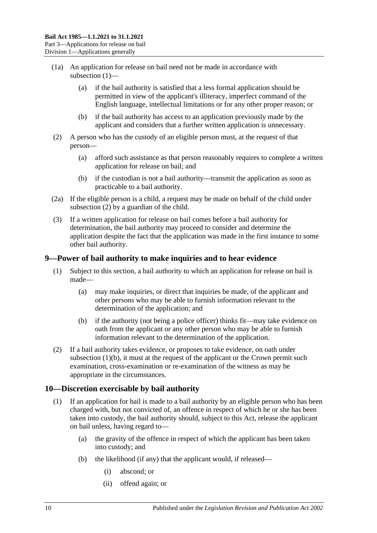- <span id="page-9-2"></span>(1a) An application for release on bail need not be made in accordance with [subsection](#page-8-3) (1)—
	- (a) if the bail authority is satisfied that a less formal application should be permitted in view of the applicant's illiteracy, imperfect command of the English language, intellectual limitations or for any other proper reason; or
	- (b) if the bail authority has access to an application previously made by the applicant and considers that a further written application is unnecessary.
- <span id="page-9-3"></span>(2) A person who has the custody of an eligible person must, at the request of that person—
	- (a) afford such assistance as that person reasonably requires to complete a written application for release on bail; and
	- (b) if the custodian is not a bail authority—transmit the application as soon as practicable to a bail authority.
- (2a) If the eligible person is a child, a request may be made on behalf of the child under [subsection](#page-9-3) (2) by a guardian of the child.
- (3) If a written application for release on bail comes before a bail authority for determination, the bail authority may proceed to consider and determine the application despite the fact that the application was made in the first instance to some other bail authority.

### <span id="page-9-0"></span>**9—Power of bail authority to make inquiries and to hear evidence**

- (1) Subject to this section, a bail authority to which an application for release on bail is made—
	- (a) may make inquiries, or direct that inquiries be made, of the applicant and other persons who may be able to furnish information relevant to the determination of the application; and
	- (b) if the authority (not being a police officer) thinks fit—may take evidence on oath from the applicant or any other person who may be able to furnish information relevant to the determination of the application.
- <span id="page-9-4"></span>(2) If a bail authority takes evidence, or proposes to take evidence, on oath under [subsection](#page-9-4)  $(1)(b)$ , it must at the request of the applicant or the Crown permit such examination, cross-examination or re-examination of the witness as may be appropriate in the circumstances.

## <span id="page-9-1"></span>**10—Discretion exercisable by bail authority**

- (1) If an application for bail is made to a bail authority by an eligible person who has been charged with, but not convicted of, an offence in respect of which he or she has been taken into custody, the bail authority should, subject to this Act, release the applicant on bail unless, having regard to—
	- (a) the gravity of the offence in respect of which the applicant has been taken into custody; and
	- (b) the likelihood (if any) that the applicant would, if released—
		- (i) abscond; or
		- (ii) offend again; or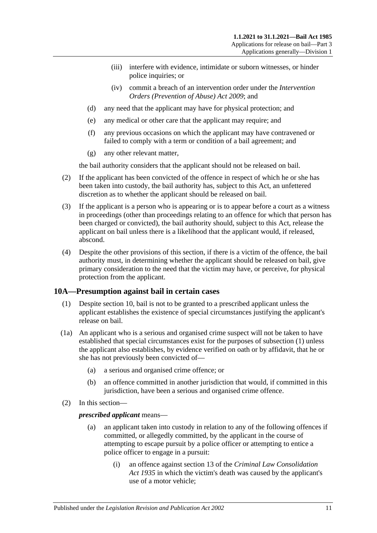- (iii) interfere with evidence, intimidate or suborn witnesses, or hinder police inquiries; or
- (iv) commit a breach of an intervention order under the *[Intervention](http://www.legislation.sa.gov.au/index.aspx?action=legref&type=act&legtitle=Intervention%20Orders%20(Prevention%20of%20Abuse)%20Act%202009)  [Orders \(Prevention of Abuse\) Act](http://www.legislation.sa.gov.au/index.aspx?action=legref&type=act&legtitle=Intervention%20Orders%20(Prevention%20of%20Abuse)%20Act%202009) 2009*; and
- (d) any need that the applicant may have for physical protection; and
- (e) any medical or other care that the applicant may require; and
- (f) any previous occasions on which the applicant may have contravened or failed to comply with a term or condition of a bail agreement; and
- (g) any other relevant matter,

the bail authority considers that the applicant should not be released on bail.

- (2) If the applicant has been convicted of the offence in respect of which he or she has been taken into custody, the bail authority has, subject to this Act, an unfettered discretion as to whether the applicant should be released on bail.
- (3) If the applicant is a person who is appearing or is to appear before a court as a witness in proceedings (other than proceedings relating to an offence for which that person has been charged or convicted), the bail authority should, subject to this Act, release the applicant on bail unless there is a likelihood that the applicant would, if released, abscond.
- (4) Despite the other provisions of this section, if there is a victim of the offence, the bail authority must, in determining whether the applicant should be released on bail, give primary consideration to the need that the victim may have, or perceive, for physical protection from the applicant.

## <span id="page-10-1"></span><span id="page-10-0"></span>**10A—Presumption against bail in certain cases**

- (1) Despite [section](#page-9-1) 10, bail is not to be granted to a prescribed applicant unless the applicant establishes the existence of special circumstances justifying the applicant's release on bail.
- (1a) An applicant who is a serious and organised crime suspect will not be taken to have established that special circumstances exist for the purposes of [subsection](#page-10-1) (1) unless the applicant also establishes, by evidence verified on oath or by affidavit, that he or she has not previously been convicted of—
	- (a) a serious and organised crime offence; or
	- (b) an offence committed in another jurisdiction that would, if committed in this jurisdiction, have been a serious and organised crime offence.
- (2) In this section—

#### *prescribed applicant* means—

- (a) an applicant taken into custody in relation to any of the following offences if committed, or allegedly committed, by the applicant in the course of attempting to escape pursuit by a police officer or attempting to entice a police officer to engage in a pursuit:
	- (i) an offence against section 13 of the *[Criminal Law Consolidation](http://www.legislation.sa.gov.au/index.aspx?action=legref&type=act&legtitle=Criminal%20Law%20Consolidation%20Act%201935)  Act [1935](http://www.legislation.sa.gov.au/index.aspx?action=legref&type=act&legtitle=Criminal%20Law%20Consolidation%20Act%201935)* in which the victim's death was caused by the applicant's use of a motor vehicle;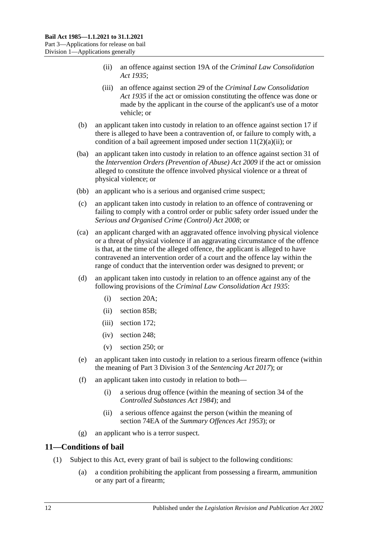- (ii) an offence against section 19A of the *[Criminal Law Consolidation](http://www.legislation.sa.gov.au/index.aspx?action=legref&type=act&legtitle=Criminal%20Law%20Consolidation%20Act%201935)  Act [1935](http://www.legislation.sa.gov.au/index.aspx?action=legref&type=act&legtitle=Criminal%20Law%20Consolidation%20Act%201935)*;
- (iii) an offence against section 29 of the *[Criminal Law Consolidation](http://www.legislation.sa.gov.au/index.aspx?action=legref&type=act&legtitle=Criminal%20Law%20Consolidation%20Act%201935)  Act [1935](http://www.legislation.sa.gov.au/index.aspx?action=legref&type=act&legtitle=Criminal%20Law%20Consolidation%20Act%201935)* if the act or omission constituting the offence was done or made by the applicant in the course of the applicant's use of a motor vehicle; or
- (b) an applicant taken into custody in relation to an offence against [section](#page-20-2) 17 if there is alleged to have been a contravention of, or failure to comply with, a condition of a bail agreement imposed under section  $11(2)(a)(ii)$ ; or
- (ba) an applicant taken into custody in relation to an offence against section 31 of the *[Intervention Orders \(Prevention of Abuse\) Act](http://www.legislation.sa.gov.au/index.aspx?action=legref&type=act&legtitle=Intervention%20Orders%20(Prevention%20of%20Abuse)%20Act%202009) 2009* if the act or omission alleged to constitute the offence involved physical violence or a threat of physical violence; or
- (bb) an applicant who is a serious and organised crime suspect;
- (c) an applicant taken into custody in relation to an offence of contravening or failing to comply with a control order or public safety order issued under the *[Serious and Organised Crime \(Control\) Act](http://www.legislation.sa.gov.au/index.aspx?action=legref&type=act&legtitle=Serious%20and%20Organised%20Crime%20(Control)%20Act%202008) 2008*; or
- (ca) an applicant charged with an aggravated offence involving physical violence or a threat of physical violence if an aggravating circumstance of the offence is that, at the time of the alleged offence, the applicant is alleged to have contravened an intervention order of a court and the offence lay within the range of conduct that the intervention order was designed to prevent; or
- (d) an applicant taken into custody in relation to an offence against any of the following provisions of the *[Criminal Law Consolidation Act](http://www.legislation.sa.gov.au/index.aspx?action=legref&type=act&legtitle=Criminal%20Law%20Consolidation%20Act%201935) 1935*:
	- (i) section 20A;
	- (ii) section 85B;
	- (iii) section 172;
	- (iv) section 248;
	- (v) section 250; or
- (e) an applicant taken into custody in relation to a serious firearm offence (within the meaning of Part 3 Division 3 of the *[Sentencing Act](http://www.legislation.sa.gov.au/index.aspx?action=legref&type=act&legtitle=Sentencing%20Act%202017) 2017*); or
- (f) an applicant taken into custody in relation to both—
	- (i) a serious drug offence (within the meaning of section 34 of the *[Controlled Substances Act](http://www.legislation.sa.gov.au/index.aspx?action=legref&type=act&legtitle=Controlled%20Substances%20Act%201984) 1984*); and
	- (ii) a serious offence against the person (within the meaning of section 74EA of the *[Summary Offences Act](http://www.legislation.sa.gov.au/index.aspx?action=legref&type=act&legtitle=Summary%20Offences%20Act%201953) 1953*); or
- (g) an applicant who is a terror suspect.

#### <span id="page-11-1"></span><span id="page-11-0"></span>**11—Conditions of bail**

- <span id="page-11-2"></span>(1) Subject to this Act, every grant of bail is subject to the following conditions:
	- (a) a condition prohibiting the applicant from possessing a firearm, ammunition or any part of a firearm;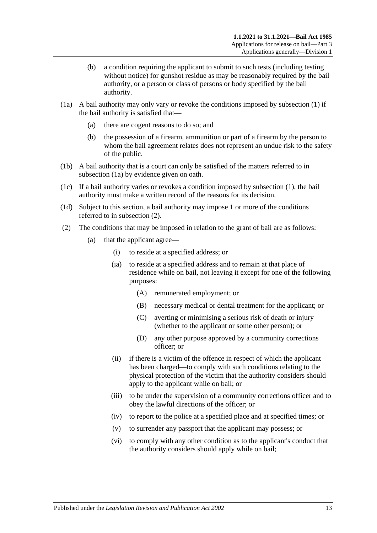- (b) a condition requiring the applicant to submit to such tests (including testing without notice) for gunshot residue as may be reasonably required by the bail authority, or a person or class of persons or body specified by the bail authority.
- <span id="page-12-1"></span>(1a) A bail authority may only vary or revoke the conditions imposed by [subsection](#page-11-1) (1) if the bail authority is satisfied that—
	- (a) there are cogent reasons to do so; and
	- (b) the possession of a firearm, ammunition or part of a firearm by the person to whom the bail agreement relates does not represent an undue risk to the safety of the public.
- (1b) A bail authority that is a court can only be satisfied of the matters referred to in [subsection](#page-12-1) (1a) by evidence given on oath.
- (1c) If a bail authority varies or revokes a condition imposed by [subsection](#page-11-1) (1), the bail authority must make a written record of the reasons for its decision.
- (1d) Subject to this section, a bail authority may impose 1 or more of the conditions referred to in [subsection](#page-12-2) (2).
- <span id="page-12-4"></span><span id="page-12-3"></span><span id="page-12-2"></span><span id="page-12-0"></span>(2) The conditions that may be imposed in relation to the grant of bail are as follows:
	- (a) that the applicant agree—
		- (i) to reside at a specified address; or
		- (ia) to reside at a specified address and to remain at that place of residence while on bail, not leaving it except for one of the following purposes:
			- (A) remunerated employment; or
			- (B) necessary medical or dental treatment for the applicant; or
			- (C) averting or minimising a serious risk of death or injury (whether to the applicant or some other person); or
			- (D) any other purpose approved by a community corrections officer; or
		- (ii) if there is a victim of the offence in respect of which the applicant has been charged—to comply with such conditions relating to the physical protection of the victim that the authority considers should apply to the applicant while on bail; or
		- (iii) to be under the supervision of a community corrections officer and to obey the lawful directions of the officer; or
		- (iv) to report to the police at a specified place and at specified times; or
		- (v) to surrender any passport that the applicant may possess; or
		- (vi) to comply with any other condition as to the applicant's conduct that the authority considers should apply while on bail;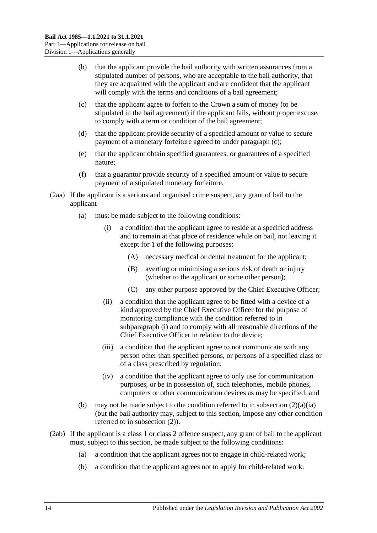- (b) that the applicant provide the bail authority with written assurances from a stipulated number of persons, who are acceptable to the bail authority, that they are acquainted with the applicant and are confident that the applicant will comply with the terms and conditions of a bail agreement;
- <span id="page-13-0"></span>(c) that the applicant agree to forfeit to the Crown a sum of money (to be stipulated in the bail agreement) if the applicant fails, without proper excuse, to comply with a term or condition of the bail agreement;
- (d) that the applicant provide security of a specified amount or value to secure payment of a monetary forfeiture agreed to under [paragraph](#page-13-0) (c);
- (e) that the applicant obtain specified guarantees, or guarantees of a specified nature;
- (f) that a guarantor provide security of a specified amount or value to secure payment of a stipulated monetary forfeiture.
- <span id="page-13-1"></span>(2aa) If the applicant is a serious and organised crime suspect, any grant of bail to the applicant—
	- (a) must be made subject to the following conditions:
		- (i) a condition that the applicant agree to reside at a specified address and to remain at that place of residence while on bail, not leaving it except for 1 of the following purposes:
			- (A) necessary medical or dental treatment for the applicant;
			- (B) averting or minimising a serious risk of death or injury (whether to the applicant or some other person);
			- (C) any other purpose approved by the Chief Executive Officer;
		- (ii) a condition that the applicant agree to be fitted with a device of a kind approved by the Chief Executive Officer for the purpose of monitoring compliance with the condition referred to in [subparagraph](#page-13-1) (i) and to comply with all reasonable directions of the Chief Executive Officer in relation to the device;
		- (iii) a condition that the applicant agree to not communicate with any person other than specified persons, or persons of a specified class or of a class prescribed by regulation;
		- (iv) a condition that the applicant agree to only use for communication purposes, or be in possession of, such telephones, mobile phones, computers or other communication devices as may be specified; and
	- (b) may not be made subject to the condition referred to in [subsection](#page-12-3)  $(2)(a)(ia)$ (but the bail authority may, subject to this section, impose any other condition referred to in [subsection](#page-12-2) (2)).
- <span id="page-13-2"></span>(2ab) If the applicant is a class 1 or class 2 offence suspect, any grant of bail to the applicant must, subject to this section, be made subject to the following conditions:
	- (a) a condition that the applicant agrees not to engage in child-related work;
	- (b) a condition that the applicant agrees not to apply for child-related work.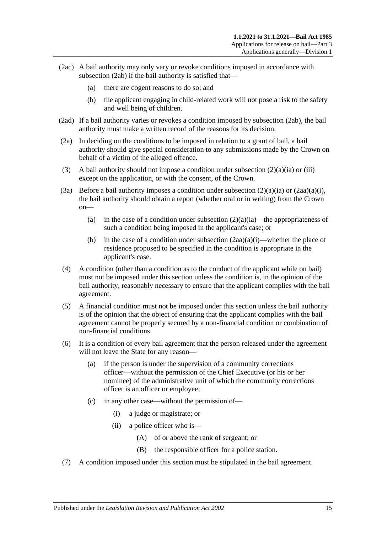- (2ac) A bail authority may only vary or revoke conditions imposed in accordance with [subsection](#page-13-2) (2ab) if the bail authority is satisfied that—
	- (a) there are cogent reasons to do so; and
	- (b) the applicant engaging in child-related work will not pose a risk to the safety and well being of children.
- (2ad) If a bail authority varies or revokes a condition imposed by [subsection](#page-13-2) (2ab), the bail authority must make a written record of the reasons for its decision.
- (2a) In deciding on the conditions to be imposed in relation to a grant of bail, a bail authority should give special consideration to any submissions made by the Crown on behalf of a victim of the alleged offence.
- (3) A bail authority should not impose a condition under [subsection](#page-12-3)  $(2)(a)(ia)$  or [\(iii\)](#page-12-4) except on the application, or with the consent, of the Crown.
- (3a) Before a bail authority imposes a condition under [subsection](#page-12-3)  $(2)(a)(ia)$  or  $(2aa)(a)(i)$ , the bail authority should obtain a report (whether oral or in writing) from the Crown on
	- (a) in the case of a condition under [subsection](#page-12-3)  $(2)(a)(ia)$ —the appropriateness of such a condition being imposed in the applicant's case; or
	- (b) in the case of a condition under [subsection](#page-13-1)  $(2aa)(a)(i)$ —whether the place of residence proposed to be specified in the condition is appropriate in the applicant's case.
- (4) A condition (other than a condition as to the conduct of the applicant while on bail) must not be imposed under this section unless the condition is, in the opinion of the bail authority, reasonably necessary to ensure that the applicant complies with the bail agreement.
- (5) A financial condition must not be imposed under this section unless the bail authority is of the opinion that the object of ensuring that the applicant complies with the bail agreement cannot be properly secured by a non-financial condition or combination of non-financial conditions.
- (6) It is a condition of every bail agreement that the person released under the agreement will not leave the State for any reason—
	- (a) if the person is under the supervision of a community corrections officer—without the permission of the Chief Executive (or his or her nominee) of the administrative unit of which the community corrections officer is an officer or employee;
	- (c) in any other case—without the permission of—
		- (i) a judge or magistrate; or
		- (ii) a police officer who is—
			- (A) of or above the rank of sergeant; or
			- (B) the responsible officer for a police station.
- (7) A condition imposed under this section must be stipulated in the bail agreement.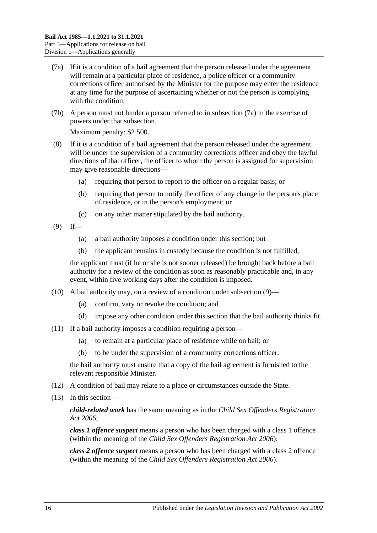- <span id="page-15-0"></span>(7a) If it is a condition of a bail agreement that the person released under the agreement will remain at a particular place of residence, a police officer or a community corrections officer authorised by the Minister for the purpose may enter the residence at any time for the purpose of ascertaining whether or not the person is complying with the condition.
- (7b) A person must not hinder a person referred to in [subsection](#page-15-0) (7a) in the exercise of powers under that subsection.

Maximum penalty: \$2 500.

- (8) If it is a condition of a bail agreement that the person released under the agreement will be under the supervision of a community corrections officer and obey the lawful directions of that officer, the officer to whom the person is assigned for supervision may give reasonable directions—
	- (a) requiring that person to report to the officer on a regular basis; or
	- (b) requiring that person to notify the officer of any change in the person's place of residence, or in the person's employment; or
	- (c) on any other matter stipulated by the bail authority.
- <span id="page-15-1"></span> $(9)$  If—
	- (a) a bail authority imposes a condition under this section; but
	- (b) the applicant remains in custody because the condition is not fulfilled,

the applicant must (if he or she is not sooner released) be brought back before a bail authority for a review of the condition as soon as reasonably practicable and, in any event, within five working days after the condition is imposed.

- (10) A bail authority may, on a review of a condition under [subsection](#page-15-1) (9)—
	- (a) confirm, vary or revoke the condition; and
	- (d) impose any other condition under this section that the bail authority thinks fit.
- (11) If a bail authority imposes a condition requiring a person—
	- (a) to remain at a particular place of residence while on bail; or
	- (b) to be under the supervision of a community corrections officer,

the bail authority must ensure that a copy of the bail agreement is furnished to the relevant responsible Minister.

- (12) A condition of bail may relate to a place or circumstances outside the State.
- (13) In this section—

*child-related work* has the same meaning as in the *[Child Sex Offenders Registration](http://www.legislation.sa.gov.au/index.aspx?action=legref&type=act&legtitle=Child%20Sex%20Offenders%20Registration%20Act%202006)  Act [2006](http://www.legislation.sa.gov.au/index.aspx?action=legref&type=act&legtitle=Child%20Sex%20Offenders%20Registration%20Act%202006)*;

*class 1 offence suspect* means a person who has been charged with a class 1 offence (within the meaning of the *[Child Sex Offenders Registration Act](http://www.legislation.sa.gov.au/index.aspx?action=legref&type=act&legtitle=Child%20Sex%20Offenders%20Registration%20Act%202006) 2006*);

*class 2 offence suspect* means a person who has been charged with a class 2 offence (within the meaning of the *[Child Sex Offenders Registration Act](http://www.legislation.sa.gov.au/index.aspx?action=legref&type=act&legtitle=Child%20Sex%20Offenders%20Registration%20Act%202006) 2006*).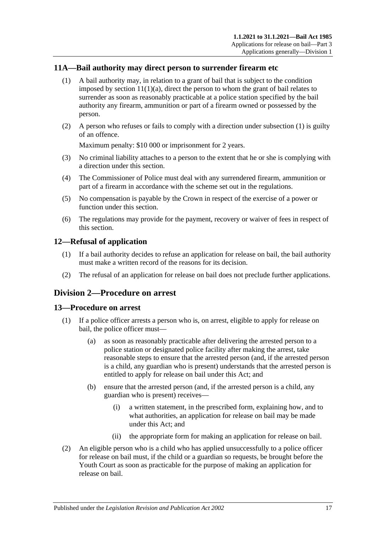## <span id="page-16-4"></span><span id="page-16-0"></span>**11A—Bail authority may direct person to surrender firearm etc**

- (1) A bail authority may, in relation to a grant of bail that is subject to the condition imposed by section  $11(1)(a)$ , direct the person to whom the grant of bail relates to surrender as soon as reasonably practicable at a police station specified by the bail authority any firearm, ammunition or part of a firearm owned or possessed by the person.
- (2) A person who refuses or fails to comply with a direction under [subsection](#page-16-4) (1) is guilty of an offence.

Maximum penalty: \$10 000 or imprisonment for 2 years.

- (3) No criminal liability attaches to a person to the extent that he or she is complying with a direction under this section.
- (4) The Commissioner of Police must deal with any surrendered firearm, ammunition or part of a firearm in accordance with the scheme set out in the regulations.
- (5) No compensation is payable by the Crown in respect of the exercise of a power or function under this section.
- (6) The regulations may provide for the payment, recovery or waiver of fees in respect of this section.

#### <span id="page-16-1"></span>**12—Refusal of application**

- (1) If a bail authority decides to refuse an application for release on bail, the bail authority must make a written record of the reasons for its decision.
- (2) The refusal of an application for release on bail does not preclude further applications.

## <span id="page-16-2"></span>**Division 2—Procedure on arrest**

#### <span id="page-16-3"></span>**13—Procedure on arrest**

- (1) If a police officer arrests a person who is, on arrest, eligible to apply for release on bail, the police officer must—
	- (a) as soon as reasonably practicable after delivering the arrested person to a police station or designated police facility after making the arrest, take reasonable steps to ensure that the arrested person (and, if the arrested person is a child, any guardian who is present) understands that the arrested person is entitled to apply for release on bail under this Act; and
	- (b) ensure that the arrested person (and, if the arrested person is a child, any guardian who is present) receives—
		- (i) a written statement, in the prescribed form, explaining how, and to what authorities, an application for release on bail may be made under this Act; and
		- (ii) the appropriate form for making an application for release on bail.
- (2) An eligible person who is a child who has applied unsuccessfully to a police officer for release on bail must, if the child or a guardian so requests, be brought before the Youth Court as soon as practicable for the purpose of making an application for release on bail.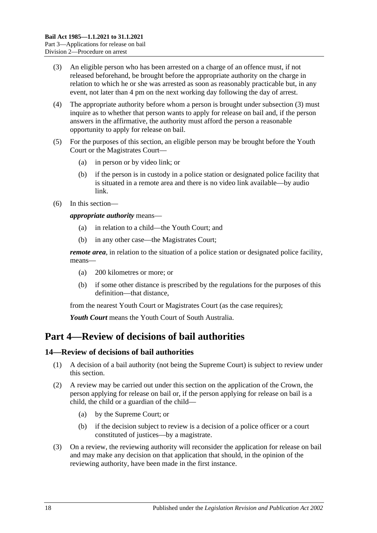- <span id="page-17-2"></span>(3) An eligible person who has been arrested on a charge of an offence must, if not released beforehand, be brought before the appropriate authority on the charge in relation to which he or she was arrested as soon as reasonably practicable but, in any event, not later than 4 pm on the next working day following the day of arrest.
- (4) The appropriate authority before whom a person is brought under [subsection](#page-17-2) (3) must inquire as to whether that person wants to apply for release on bail and, if the person answers in the affirmative, the authority must afford the person a reasonable opportunity to apply for release on bail.
- (5) For the purposes of this section, an eligible person may be brought before the Youth Court or the Magistrates Court—
	- (a) in person or by video link; or
	- (b) if the person is in custody in a police station or designated police facility that is situated in a remote area and there is no video link available—by audio link.
- (6) In this section—

*appropriate authority* means—

- (a) in relation to a child—the Youth Court; and
- (b) in any other case—the Magistrates Court;

*remote area*, in relation to the situation of a police station or designated police facility, means—

- (a) 200 kilometres or more; or
- (b) if some other distance is prescribed by the regulations for the purposes of this definition—that distance,

from the nearest Youth Court or Magistrates Court (as the case requires);

*Youth Court* means the Youth Court of South Australia.

# <span id="page-17-0"></span>**Part 4—Review of decisions of bail authorities**

## <span id="page-17-1"></span>**14—Review of decisions of bail authorities**

- (1) A decision of a bail authority (not being the Supreme Court) is subject to review under this section.
- (2) A review may be carried out under this section on the application of the Crown, the person applying for release on bail or, if the person applying for release on bail is a child, the child or a guardian of the child—
	- (a) by the Supreme Court; or
	- (b) if the decision subject to review is a decision of a police officer or a court constituted of justices—by a magistrate.
- (3) On a review, the reviewing authority will reconsider the application for release on bail and may make any decision on that application that should, in the opinion of the reviewing authority, have been made in the first instance.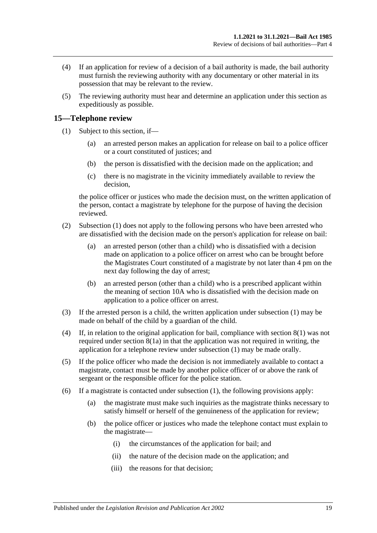- (4) If an application for review of a decision of a bail authority is made, the bail authority must furnish the reviewing authority with any documentary or other material in its possession that may be relevant to the review.
- (5) The reviewing authority must hear and determine an application under this section as expeditiously as possible.

## <span id="page-18-1"></span><span id="page-18-0"></span>**15—Telephone review**

- (1) Subject to this section, if—
	- (a) an arrested person makes an application for release on bail to a police officer or a court constituted of justices; and
	- (b) the person is dissatisfied with the decision made on the application; and
	- (c) there is no magistrate in the vicinity immediately available to review the decision,

the police officer or justices who made the decision must, on the written application of the person, contact a magistrate by telephone for the purpose of having the decision reviewed.

- (2) [Subsection](#page-18-1) (1) does not apply to the following persons who have been arrested who are dissatisfied with the decision made on the person's application for release on bail:
	- (a) an arrested person (other than a child) who is dissatisfied with a decision made on application to a police officer on arrest who can be brought before the Magistrates Court constituted of a magistrate by not later than 4 pm on the next day following the day of arrest;
	- (b) an arrested person (other than a child) who is a prescribed applicant within the meaning of [section](#page-10-0) 10A who is dissatisfied with the decision made on application to a police officer on arrest.
- (3) If the arrested person is a child, the written application under [subsection](#page-18-1) (1) may be made on behalf of the child by a guardian of the child.
- (4) If, in relation to the original application for bail, compliance with [section](#page-8-3) 8(1) was not required under [section](#page-9-2) 8(1a) in that the application was not required in writing, the application for a telephone review under [subsection](#page-18-1) (1) may be made orally.
- (5) If the police officer who made the decision is not immediately available to contact a magistrate, contact must be made by another police officer of or above the rank of sergeant or the responsible officer for the police station.
- (6) If a magistrate is contacted under [subsection](#page-18-1) (1), the following provisions apply:
	- (a) the magistrate must make such inquiries as the magistrate thinks necessary to satisfy himself or herself of the genuineness of the application for review;
	- (b) the police officer or justices who made the telephone contact must explain to the magistrate—
		- (i) the circumstances of the application for bail; and
		- (ii) the nature of the decision made on the application; and
		- (iii) the reasons for that decision;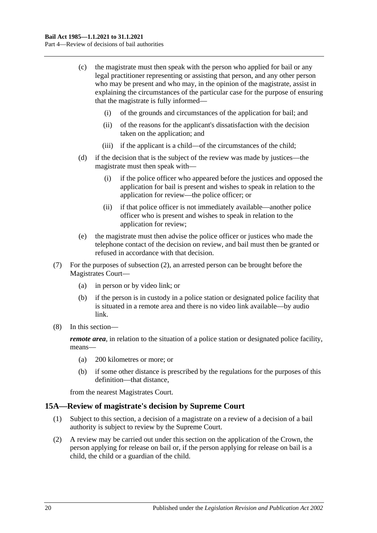- (c) the magistrate must then speak with the person who applied for bail or any legal practitioner representing or assisting that person, and any other person who may be present and who may, in the opinion of the magistrate, assist in explaining the circumstances of the particular case for the purpose of ensuring that the magistrate is fully informed—
	- (i) of the grounds and circumstances of the application for bail; and
	- (ii) of the reasons for the applicant's dissatisfaction with the decision taken on the application; and
	- (iii) if the applicant is a child—of the circumstances of the child;
- (d) if the decision that is the subject of the review was made by justices—the magistrate must then speak with—
	- (i) if the police officer who appeared before the justices and opposed the application for bail is present and wishes to speak in relation to the application for review—the police officer; or
	- (ii) if that police officer is not immediately available—another police officer who is present and wishes to speak in relation to the application for review;
- (e) the magistrate must then advise the police officer or justices who made the telephone contact of the decision on review, and bail must then be granted or refused in accordance with that decision.
- (7) For the purposes of subsection (2), an arrested person can be brought before the Magistrates Court—
	- (a) in person or by video link; or
	- (b) if the person is in custody in a police station or designated police facility that is situated in a remote area and there is no video link available—by audio link.
- (8) In this section—

*remote area*, in relation to the situation of a police station or designated police facility, means—

- (a) 200 kilometres or more; or
- (b) if some other distance is prescribed by the regulations for the purposes of this definition—that distance,

from the nearest Magistrates Court.

#### <span id="page-19-0"></span>**15A—Review of magistrate's decision by Supreme Court**

- (1) Subject to this section, a decision of a magistrate on a review of a decision of a bail authority is subject to review by the Supreme Court.
- (2) A review may be carried out under this section on the application of the Crown, the person applying for release on bail or, if the person applying for release on bail is a child, the child or a guardian of the child.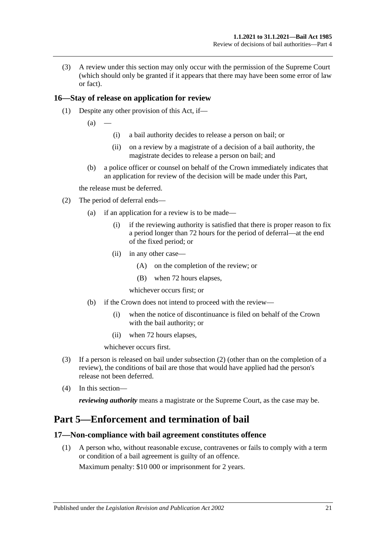(3) A review under this section may only occur with the permission of the Supreme Court (which should only be granted if it appears that there may have been some error of law or fact).

## <span id="page-20-0"></span>**16—Stay of release on application for review**

- (1) Despite any other provision of this Act, if—
	- $(a)$
- (i) a bail authority decides to release a person on bail; or
- (ii) on a review by a magistrate of a decision of a bail authority, the magistrate decides to release a person on bail; and
- (b) a police officer or counsel on behalf of the Crown immediately indicates that an application for review of the decision will be made under this Part,

the release must be deferred.

- <span id="page-20-3"></span>(2) The period of deferral ends—
	- (a) if an application for a review is to be made—
		- (i) if the reviewing authority is satisfied that there is proper reason to fix a period longer than 72 hours for the period of deferral—at the end of the fixed period; or
		- (ii) in any other case—
			- (A) on the completion of the review; or
			- (B) when 72 hours elapses,

whichever occurs first; or

- (b) if the Crown does not intend to proceed with the review—
	- (i) when the notice of discontinuance is filed on behalf of the Crown with the bail authority; or
	- (ii) when 72 hours elapses,

whichever occurs first.

- (3) If a person is released on bail under [subsection](#page-20-3) (2) (other than on the completion of a review), the conditions of bail are those that would have applied had the person's release not been deferred.
- (4) In this section—

*reviewing authority* means a magistrate or the Supreme Court, as the case may be.

# <span id="page-20-1"></span>**Part 5—Enforcement and termination of bail**

## <span id="page-20-2"></span>**17—Non-compliance with bail agreement constitutes offence**

(1) A person who, without reasonable excuse, contravenes or fails to comply with a term or condition of a bail agreement is guilty of an offence. Maximum penalty: \$10 000 or imprisonment for 2 years.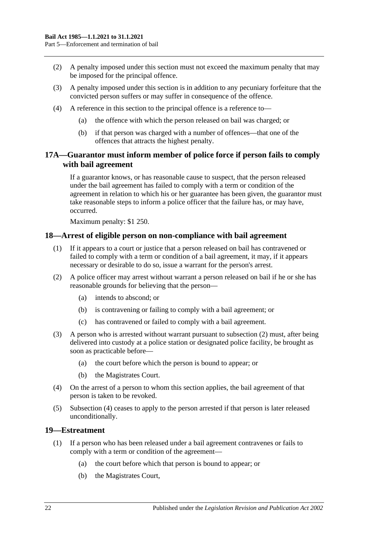- (2) A penalty imposed under this section must not exceed the maximum penalty that may be imposed for the principal offence.
- (3) A penalty imposed under this section is in addition to any pecuniary forfeiture that the convicted person suffers or may suffer in consequence of the offence.
- (4) A reference in this section to the principal offence is a reference to—
	- (a) the offence with which the person released on bail was charged; or
	- (b) if that person was charged with a number of offences—that one of the offences that attracts the highest penalty.

## <span id="page-21-0"></span>**17A—Guarantor must inform member of police force if person fails to comply with bail agreement**

If a guarantor knows, or has reasonable cause to suspect, that the person released under the bail agreement has failed to comply with a term or condition of the agreement in relation to which his or her guarantee has been given, the guarantor must take reasonable steps to inform a police officer that the failure has, or may have, occurred.

Maximum penalty: \$1 250.

## <span id="page-21-1"></span>**18—Arrest of eligible person on non-compliance with bail agreement**

- (1) If it appears to a court or justice that a person released on bail has contravened or failed to comply with a term or condition of a bail agreement, it may, if it appears necessary or desirable to do so, issue a warrant for the person's arrest.
- <span id="page-21-3"></span>(2) A police officer may arrest without warrant a person released on bail if he or she has reasonable grounds for believing that the person—
	- (a) intends to abscond; or
	- (b) is contravening or failing to comply with a bail agreement; or
	- (c) has contravened or failed to comply with a bail agreement.
- (3) A person who is arrested without warrant pursuant to [subsection](#page-21-3) (2) must, after being delivered into custody at a police station or designated police facility, be brought as soon as practicable before—
	- (a) the court before which the person is bound to appear; or
	- (b) the Magistrates Court.
- <span id="page-21-4"></span>(4) On the arrest of a person to whom this section applies, the bail agreement of that person is taken to be revoked.
- (5) [Subsection](#page-21-4) (4) ceases to apply to the person arrested if that person is later released unconditionally.

#### <span id="page-21-5"></span><span id="page-21-2"></span>**19—Estreatment**

- (1) If a person who has been released under a bail agreement contravenes or fails to comply with a term or condition of the agreement—
	- (a) the court before which that person is bound to appear; or
	- (b) the Magistrates Court,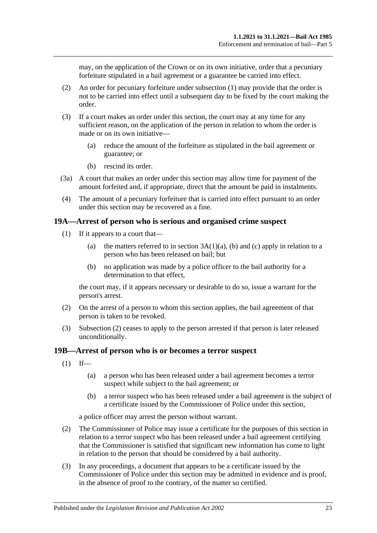may, on the application of the Crown or on its own initiative, order that a pecuniary forfeiture stipulated in a bail agreement or a guarantee be carried into effect.

- (2) An order for pecuniary forfeiture under [subsection](#page-21-5) (1) may provide that the order is not to be carried into effect until a subsequent day to be fixed by the court making the order.
- (3) If a court makes an order under this section, the court may at any time for any sufficient reason, on the application of the person in relation to whom the order is made or on its own initiative—
	- (a) reduce the amount of the forfeiture as stipulated in the bail agreement or guarantee; or
	- (b) rescind its order.
- (3a) A court that makes an order under this section may allow time for payment of the amount forfeited and, if appropriate, direct that the amount be paid in instalments.
- (4) The amount of a pecuniary forfeiture that is carried into effect pursuant to an order under this section may be recovered as a fine.

#### <span id="page-22-0"></span>**19A—Arrest of person who is serious and organised crime suspect**

- (1) If it appears to a court that—
	- (a) the matters referred to in section  $3A(1)(a)$ , [\(b\)](#page-3-3) and [\(c\)](#page-3-4) apply in relation to a person who has been released on bail; but
	- (b) no application was made by a police officer to the bail authority for a determination to that effect,

the court may, if it appears necessary or desirable to do so, issue a warrant for the person's arrest.

- (2) On the arrest of a person to whom this section applies, the bail agreement of that person is taken to be revoked.
- (3) Subsection (2) ceases to apply to the person arrested if that person is later released unconditionally.

#### <span id="page-22-1"></span>**19B—Arrest of person who is or becomes a terror suspect**

- $(1)$  If—
	- (a) a person who has been released under a bail agreement becomes a terror suspect while subject to the bail agreement; or
	- (b) a terror suspect who has been released under a bail agreement is the subject of a certificate issued by the Commissioner of Police under this section,

a police officer may arrest the person without warrant.

- (2) The Commissioner of Police may issue a certificate for the purposes of this section in relation to a terror suspect who has been released under a bail agreement certifying that the Commissioner is satisfied that significant new information has come to light in relation to the person that should be considered by a bail authority.
- (3) In any proceedings, a document that appears to be a certificate issued by the Commissioner of Police under this section may be admitted in evidence and is proof, in the absence of proof to the contrary, of the matter so certified.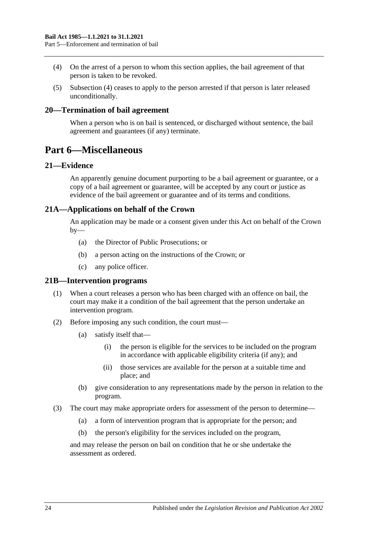- <span id="page-23-5"></span>(4) On the arrest of a person to whom this section applies, the bail agreement of that person is taken to be revoked.
- (5) [Subsection](#page-23-5) (4) ceases to apply to the person arrested if that person is later released unconditionally.

#### <span id="page-23-0"></span>**20—Termination of bail agreement**

When a person who is on bail is sentenced, or discharged without sentence, the bail agreement and guarantees (if any) terminate.

# <span id="page-23-1"></span>**Part 6—Miscellaneous**

### <span id="page-23-2"></span>**21—Evidence**

An apparently genuine document purporting to be a bail agreement or guarantee, or a copy of a bail agreement or guarantee, will be accepted by any court or justice as evidence of the bail agreement or guarantee and of its terms and conditions.

## <span id="page-23-3"></span>**21A—Applications on behalf of the Crown**

An application may be made or a consent given under this Act on behalf of the Crown  $by-$ 

- (a) the Director of Public Prosecutions; or
- (b) a person acting on the instructions of the Crown; or
- (c) any police officer.

#### <span id="page-23-4"></span>**21B—Intervention programs**

- (1) When a court releases a person who has been charged with an offence on bail, the court may make it a condition of the bail agreement that the person undertake an intervention program.
- (2) Before imposing any such condition, the court must—
	- (a) satisfy itself that—
		- (i) the person is eligible for the services to be included on the program in accordance with applicable eligibility criteria (if any); and
		- (ii) those services are available for the person at a suitable time and place; and
	- (b) give consideration to any representations made by the person in relation to the program.
- (3) The court may make appropriate orders for assessment of the person to determine—
	- (a) a form of intervention program that is appropriate for the person; and
	- (b) the person's eligibility for the services included on the program,

and may release the person on bail on condition that he or she undertake the assessment as ordered.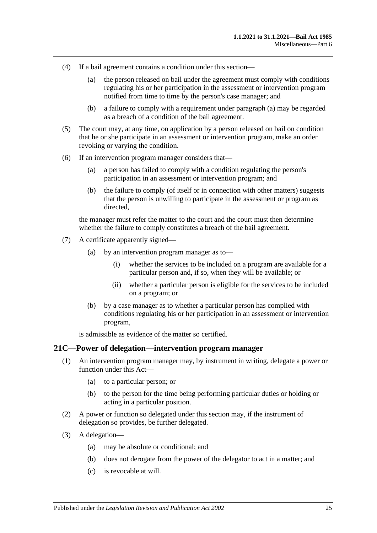- <span id="page-24-1"></span>(4) If a bail agreement contains a condition under this section—
	- (a) the person released on bail under the agreement must comply with conditions regulating his or her participation in the assessment or intervention program notified from time to time by the person's case manager; and
	- (b) a failure to comply with a requirement under [paragraph](#page-24-1) (a) may be regarded as a breach of a condition of the bail agreement.
- (5) The court may, at any time, on application by a person released on bail on condition that he or she participate in an assessment or intervention program, make an order revoking or varying the condition.
- (6) If an intervention program manager considers that—
	- (a) a person has failed to comply with a condition regulating the person's participation in an assessment or intervention program; and
	- (b) the failure to comply (of itself or in connection with other matters) suggests that the person is unwilling to participate in the assessment or program as directed,

the manager must refer the matter to the court and the court must then determine whether the failure to comply constitutes a breach of the bail agreement.

- (7) A certificate apparently signed—
	- (a) by an intervention program manager as to—
		- (i) whether the services to be included on a program are available for a particular person and, if so, when they will be available; or
		- (ii) whether a particular person is eligible for the services to be included on a program; or
	- (b) by a case manager as to whether a particular person has complied with conditions regulating his or her participation in an assessment or intervention program,

is admissible as evidence of the matter so certified.

#### <span id="page-24-0"></span>**21C—Power of delegation—intervention program manager**

- (1) An intervention program manager may, by instrument in writing, delegate a power or function under this Act—
	- (a) to a particular person; or
	- (b) to the person for the time being performing particular duties or holding or acting in a particular position.
- (2) A power or function so delegated under this section may, if the instrument of delegation so provides, be further delegated.
- (3) A delegation—
	- (a) may be absolute or conditional; and
	- (b) does not derogate from the power of the delegator to act in a matter; and
	- (c) is revocable at will.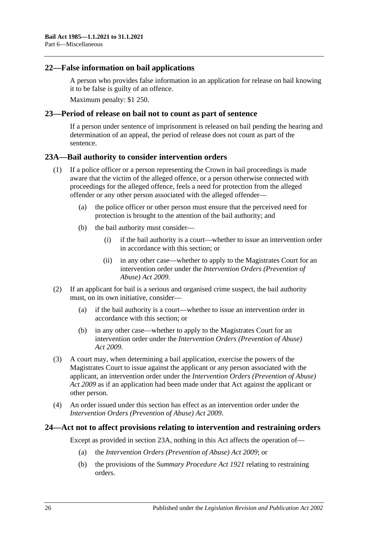### <span id="page-25-0"></span>**22—False information on bail applications**

A person who provides false information in an application for release on bail knowing it to be false is guilty of an offence.

Maximum penalty: \$1 250.

### <span id="page-25-1"></span>**23—Period of release on bail not to count as part of sentence**

If a person under sentence of imprisonment is released on bail pending the hearing and determination of an appeal, the period of release does not count as part of the sentence.

### <span id="page-25-2"></span>**23A—Bail authority to consider intervention orders**

- (1) If a police officer or a person representing the Crown in bail proceedings is made aware that the victim of the alleged offence, or a person otherwise connected with proceedings for the alleged offence, feels a need for protection from the alleged offender or any other person associated with the alleged offender—
	- (a) the police officer or other person must ensure that the perceived need for protection is brought to the attention of the bail authority; and
	- (b) the bail authority must consider—
		- (i) if the bail authority is a court—whether to issue an intervention order in accordance with this section; or
		- (ii) in any other case—whether to apply to the Magistrates Court for an intervention order under the *[Intervention Orders \(Prevention of](http://www.legislation.sa.gov.au/index.aspx?action=legref&type=act&legtitle=Intervention%20Orders%20(Prevention%20of%20Abuse)%20Act%202009)  [Abuse\) Act](http://www.legislation.sa.gov.au/index.aspx?action=legref&type=act&legtitle=Intervention%20Orders%20(Prevention%20of%20Abuse)%20Act%202009) 2009*.
- (2) If an applicant for bail is a serious and organised crime suspect, the bail authority must, on its own initiative, consider—
	- (a) if the bail authority is a court—whether to issue an intervention order in accordance with this section; or
	- (b) in any other case—whether to apply to the Magistrates Court for an intervention order under the *[Intervention Orders \(Prevention of Abuse\)](http://www.legislation.sa.gov.au/index.aspx?action=legref&type=act&legtitle=Intervention%20Orders%20(Prevention%20of%20Abuse)%20Act%202009)  Act [2009](http://www.legislation.sa.gov.au/index.aspx?action=legref&type=act&legtitle=Intervention%20Orders%20(Prevention%20of%20Abuse)%20Act%202009)*.
- (3) A court may, when determining a bail application, exercise the powers of the Magistrates Court to issue against the applicant or any person associated with the applicant, an intervention order under the *[Intervention Orders \(Prevention of Abuse\)](http://www.legislation.sa.gov.au/index.aspx?action=legref&type=act&legtitle=Intervention%20Orders%20(Prevention%20of%20Abuse)%20Act%202009)  Act [2009](http://www.legislation.sa.gov.au/index.aspx?action=legref&type=act&legtitle=Intervention%20Orders%20(Prevention%20of%20Abuse)%20Act%202009)* as if an application had been made under that Act against the applicant or other person.
- (4) An order issued under this section has effect as an intervention order under the *[Intervention Orders \(Prevention of Abuse\) Act](http://www.legislation.sa.gov.au/index.aspx?action=legref&type=act&legtitle=Intervention%20Orders%20(Prevention%20of%20Abuse)%20Act%202009) 2009*.

#### <span id="page-25-3"></span>**24—Act not to affect provisions relating to intervention and restraining orders**

Except as provided in [section](#page-25-2) 23A, nothing in this Act affects the operation of—

- (a) the *[Intervention Orders \(Prevention of Abuse\) Act](http://www.legislation.sa.gov.au/index.aspx?action=legref&type=act&legtitle=Intervention%20Orders%20(Prevention%20of%20Abuse)%20Act%202009) 2009*; or
- (b) the provisions of the *[Summary Procedure Act](http://www.legislation.sa.gov.au/index.aspx?action=legref&type=act&legtitle=Summary%20Procedure%20Act%201921) 1921* relating to restraining orders.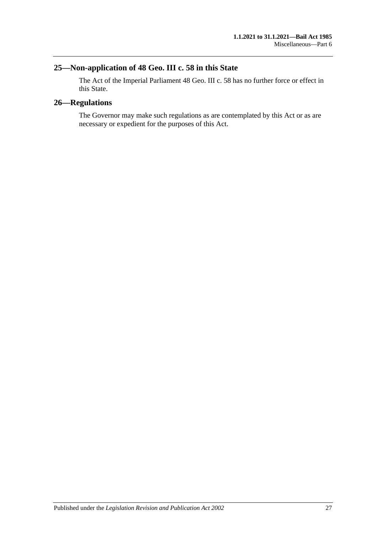## <span id="page-26-0"></span>**25—Non-application of 48 Geo. III c. 58 in this State**

The Act of the Imperial Parliament 48 Geo. III c. 58 has no further force or effect in this State.

## <span id="page-26-1"></span>**26—Regulations**

The Governor may make such regulations as are contemplated by this Act or as are necessary or expedient for the purposes of this Act.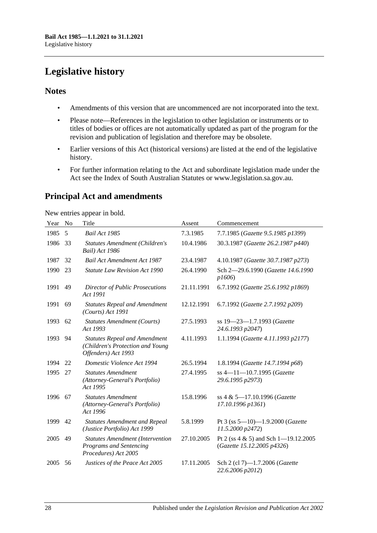# <span id="page-27-0"></span>**Legislative history**

## **Notes**

- Amendments of this version that are uncommenced are not incorporated into the text.
- Please note—References in the legislation to other legislation or instruments or to titles of bodies or offices are not automatically updated as part of the program for the revision and publication of legislation and therefore may be obsolete.
- Earlier versions of this Act (historical versions) are listed at the end of the legislative history.
- For further information relating to the Act and subordinate legislation made under the Act see the Index of South Australian Statutes or www.legislation.sa.gov.au.

# **Principal Act and amendments**

New entries appear in bold.

| Year | N <sub>0</sub> | Title                                                                                             | Assent     | Commencement                                                           |
|------|----------------|---------------------------------------------------------------------------------------------------|------------|------------------------------------------------------------------------|
| 1985 | 5              | <b>Bail Act 1985</b>                                                                              | 7.3.1985   | 7.7.1985 (Gazette 9.5.1985 p1399)                                      |
| 1986 | 33             | Statutes Amendment (Children's<br>Bail) Act 1986                                                  | 10.4.1986  | 30.3.1987 (Gazette 26.2.1987 p440)                                     |
| 1987 | 32             | <b>Bail Act Amendment Act 1987</b>                                                                | 23.4.1987  | 4.10.1987 (Gazette 30.7.1987 p273)                                     |
| 1990 | 23             | <b>Statute Law Revision Act 1990</b>                                                              | 26.4.1990  | Sch 2-29.6.1990 (Gazette 14.6.1990<br>p1606                            |
| 1991 | 49             | <b>Director of Public Prosecutions</b><br>Act 1991                                                | 21.11.1991 | 6.7.1992 (Gazette 25.6.1992 p1869)                                     |
| 1991 | 69             | <b>Statutes Repeal and Amendment</b><br>$(Courts)$ Act 1991                                       | 12.12.1991 | 6.7.1992 (Gazette 2.7.1992 p209)                                       |
| 1993 | 62             | <b>Statutes Amendment (Courts)</b><br>Act 1993                                                    | 27.5.1993  | ss 19-23-1.7.1993 (Gazette<br>24.6.1993 p2047)                         |
| 1993 | 94             | <b>Statutes Repeal and Amendment</b><br>(Children's Protection and Young<br>Offenders) Act 1993   | 4.11.1993  | 1.1.1994 (Gazette 4.11.1993 p2177)                                     |
| 1994 | 22             | Domestic Violence Act 1994                                                                        | 26.5.1994  | 1.8.1994 (Gazette 14.7.1994 p68)                                       |
| 1995 | 27             | <b>Statutes Amendment</b><br>(Attorney-General's Portfolio)<br>Act 1995                           | 27.4.1995  | $ss$ 4—11—10.7.1995 (Gazette<br>29.6.1995 p2973)                       |
| 1996 | 67             | <b>Statutes Amendment</b><br>(Attorney-General's Portfolio)<br>Act 1996                           | 15.8.1996  | ss 4 & 5-17.10.1996 (Gazette<br>17.10.1996 p1361)                      |
| 1999 | 42             | <b>Statutes Amendment and Repeal</b><br>(Justice Portfolio) Act 1999                              | 5.8.1999   | Pt 3 (ss $5 - 10$ ) -1.9.2000 (Gazette<br>11.5.2000 p2472)             |
| 2005 | 49             | <b>Statutes Amendment (Intervention</b><br><b>Programs and Sentencing</b><br>Procedures) Act 2005 | 27.10.2005 | Pt 2 (ss $4 \& 5$ ) and Sch 1-19.12.2005<br>(Gazette 15.12.2005 p4326) |
| 2005 | 56             | Justices of the Peace Act 2005                                                                    | 17.11.2005 | Sch 2 (cl 7)-1.7.2006 (Gazette<br>22.6.2006 p2012)                     |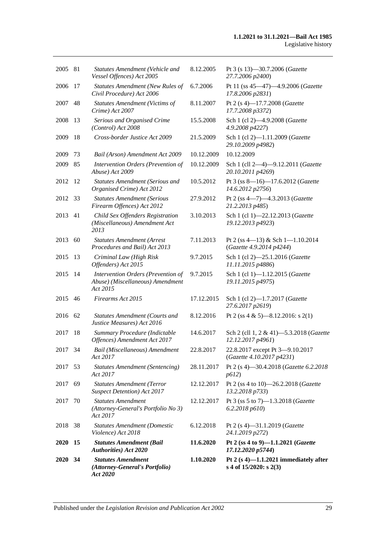| 2005        | 81   | <b>Statutes Amendment (Vehicle and</b><br>Vessel Offences) Act 2005                | 8.12.2005  | Pt 3 (s 13)-30.7.2006 (Gazette<br>27.7.2006 p2400)                 |
|-------------|------|------------------------------------------------------------------------------------|------------|--------------------------------------------------------------------|
| 2006        | 17   | <b>Statutes Amendment (New Rules of</b><br>Civil Procedure) Act 2006               | 6.7.2006   | Pt 11 (ss 45-47)-4.9.2006 (Gazette<br>17.8.2006 p2831)             |
| 2007        | 48   | <b>Statutes Amendment (Victims of</b><br>Crime) Act 2007                           | 8.11.2007  | Pt 2 (s 4)-17.7.2008 (Gazette<br>17.7.2008 p3372)                  |
| 2008        | 13   | Serious and Organised Crime<br>(Control) Act 2008                                  | 15.5.2008  | Sch 1 (cl 2)-4.9.2008 (Gazette<br>4.9.2008 p4227)                  |
| 2009        | 18   | Cross-border Justice Act 2009                                                      | 21.5.2009  | Sch 1 (cl 2)-1.11.2009 (Gazette<br>29.10.2009 p4982)               |
| 2009        | 73   | Bail (Arson) Amendment Act 2009                                                    | 10.12.2009 | 10.12.2009                                                         |
| 2009        | 85   | Intervention Orders (Prevention of<br>Abuse) Act 2009                              | 10.12.2009 | Sch 1 (cll 2-4)-9.12.2011 (Gazette<br>20.10.2011 p4269)            |
| 2012        | 12   | <b>Statutes Amendment (Serious and</b><br>Organised Crime) Act 2012                | 10.5.2012  | Pt 3 (ss 8-16)-17.6.2012 (Gazette<br>14.6.2012 p2756)              |
| 2012        | 33   | <b>Statutes Amendment (Serious</b><br>Firearm Offences) Act 2012                   | 27.9.2012  | Pt 2 (ss 4-7)-4.3.2013 (Gazette<br>21.2.2013 p485)                 |
| 2013        | 41   | Child Sex Offenders Registration<br>(Miscellaneous) Amendment Act<br>2013          | 3.10.2013  | Sch 1 (cl 1)-22.12.2013 (Gazette<br>19.12.2013 p4923)              |
| 2013        | 60   | <b>Statutes Amendment (Arrest</b><br>Procedures and Bail) Act 2013                 | 7.11.2013  | Pt 2 (ss 4-13) & Sch 1-1.10.2014<br>(Gazette 4.9.2014 p4244)       |
| 2015        | 13   | Criminal Law (High Risk<br>Offenders) Act 2015                                     | 9.7.2015   | Sch 1 (cl 2)-25.1.2016 (Gazette<br>11.11.2015 p4886)               |
| 2015        | 14   | Intervention Orders (Prevention of<br>Abuse) (Miscellaneous) Amendment<br>Act 2015 | 9.7.2015   | Sch 1 (cl 1)-1.12.2015 (Gazette<br>19.11.2015 p4975)               |
| 2015        | 46   | Firearms Act 2015                                                                  | 17.12.2015 | Sch 1 (cl 2)-1.7.2017 (Gazette<br>27.6.2017 p2619)                 |
| 2016        | 62   | <b>Statutes Amendment (Courts and</b><br>Justice Measures) Act 2016                | 8.12.2016  | Pt 2 (ss 4 & 5)—8.12.2016: s 2(1)                                  |
| 2017        | 18   | Summary Procedure (Indictable<br>Offences) Amendment Act 2017                      | 14.6.2017  | Sch 2 (cll 1, 2 & 41)-5.3.2018 (Gazette<br>12.12.2017 p4961)       |
| 2017 34     |      | Bail (Miscellaneous) Amendment<br>Act 2017                                         | 22.8.2017  | 22.8.2017 except Pt 3-9.10.2017<br>(Gazette 4.10.2017 p4231)       |
| 2017        | 53   | <b>Statutes Amendment (Sentencing)</b><br>Act 2017                                 | 28.11.2017 | Pt 2 (s 4)–30.4.2018 (Gazette 6.2.2018)<br>p612)                   |
| 2017        | 69   | <b>Statutes Amendment (Terror</b><br><b>Suspect Detention</b> ) Act 2017           | 12.12.2017 | Pt 2 (ss 4 to 10)-26.2.2018 (Gazette<br>13.2.2018 p733)            |
| 2017        | 70   | <b>Statutes Amendment</b><br>(Attorney-General's Portfolio No 3)<br>Act 2017       | 12.12.2017 | Pt 3 (ss 5 to 7)-1.3.2018 (Gazette<br>6.2.2018 p610                |
| 2018 38     |      | <b>Statutes Amendment (Domestic</b><br>Violence) Act 2018                          | 6.12.2018  | Pt 2 (s 4)-31.1.2019 (Gazette<br>24.1.2019 p272)                   |
| <b>2020</b> | 15   | <b>Statutes Amendment (Bail</b><br><b>Authorities</b> ) Act 2020                   | 11.6.2020  | Pt 2 (ss 4 to 9)-1.1.2021 (Gazette<br>17.12.2020 p5744)            |
| <b>2020</b> | - 34 | <b>Statutes Amendment</b><br>(Attorney-General's Portfolio)<br>Act 2020            | 1.10.2020  | Pt 2 $(s 4)$ -1.1.2021 immediately after<br>s 4 of 15/2020: s 2(3) |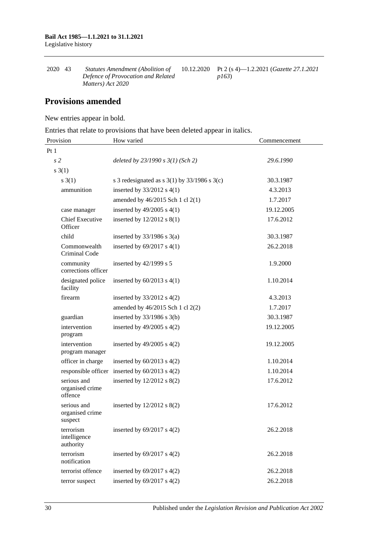| 2020 43 | <i>Statutes Amendment (Abolition of</i> | 10.12.2020 Pt 2 (s 4)—1.2.2021 ( <i>Gazette 27.1.2021</i> |
|---------|-----------------------------------------|-----------------------------------------------------------|
|         | Defence of Provocation and Related      | p163                                                      |
|         | Matters) Act 2020                       |                                                           |

## **Provisions amended**

New entries appear in bold.

Entries that relate to provisions that have been deleted appear in italics.

| Provision                                 | How varied                                         | Commencement |
|-------------------------------------------|----------------------------------------------------|--------------|
| Pt1                                       |                                                    |              |
| s <sub>2</sub>                            | deleted by $23/1990 s 3(1)$ (Sch 2)                | 29.6.1990    |
| $s \; 3(1)$                               |                                                    |              |
| $s \; 3(1)$                               | s 3 redesignated as s $3(1)$ by $33/1986$ s $3(c)$ | 30.3.1987    |
| ammunition                                | inserted by $33/2012$ s 4(1)                       | 4.3.2013     |
|                                           | amended by 46/2015 Sch 1 cl 2(1)                   | 1.7.2017     |
| case manager                              | inserted by $49/2005$ s $4(1)$                     | 19.12.2005   |
| <b>Chief Executive</b><br>Officer         | inserted by $12/2012$ s $8(1)$                     | 17.6.2012    |
| child                                     | inserted by $33/1986$ s $3(a)$                     | 30.3.1987    |
| Commonwealth<br>Criminal Code             | inserted by $69/2017$ s $4(1)$                     | 26.2.2018    |
| community<br>corrections officer          | inserted by $42/1999$ s 5                          | 1.9.2000     |
| designated police<br>facility             | inserted by $60/2013$ s $4(1)$                     | 1.10.2014    |
| firearm                                   | inserted by $33/2012$ s 4(2)                       | 4.3.2013     |
|                                           | amended by 46/2015 Sch 1 cl 2(2)                   | 1.7.2017     |
| guardian                                  | inserted by $33/1986$ s $3(b)$                     | 30.3.1987    |
| intervention<br>program                   | inserted by $49/2005$ s $4(2)$                     | 19.12.2005   |
| intervention<br>program manager           | inserted by $49/2005$ s $4(2)$                     | 19.12.2005   |
| officer in charge                         | inserted by $60/2013$ s $4(2)$                     | 1.10.2014    |
| responsible officer                       | inserted by $60/2013$ s $4(2)$                     | 1.10.2014    |
| serious and<br>organised crime<br>offence | inserted by 12/2012 s 8(2)                         | 17.6.2012    |
| serious and<br>organised crime<br>suspect | inserted by $12/2012$ s $8(2)$                     | 17.6.2012    |
| terrorism<br>intelligence<br>authority    | inserted by $69/2017$ s $4(2)$                     | 26.2.2018    |
| terrorism<br>notification                 | inserted by $69/2017$ s $4(2)$                     | 26.2.2018    |
| terrorist offence                         | inserted by $69/2017$ s $4(2)$                     | 26.2.2018    |
| terror suspect                            | inserted by $69/2017$ s $4(2)$                     | 26.2.2018    |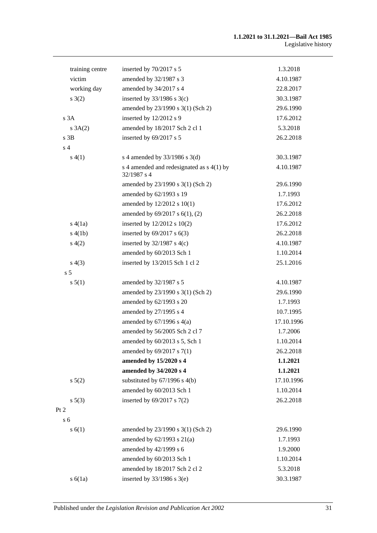| training centre | inserted by 70/2017 s 5                                    | 1.3.2018   |
|-----------------|------------------------------------------------------------|------------|
| victim          | amended by 32/1987 s 3                                     | 4.10.1987  |
| working day     | amended by 34/2017 s 4                                     | 22.8.2017  |
| s(2)            | inserted by $33/1986$ s $3(c)$                             | 30.3.1987  |
|                 | amended by 23/1990 s 3(1) (Sch 2)                          | 29.6.1990  |
| s3A             | inserted by 12/2012 s 9                                    | 17.6.2012  |
| s 3A(2)         | amended by 18/2017 Sch 2 cl 1                              | 5.3.2018   |
| $s$ 3B          | inserted by 69/2017 s 5                                    | 26.2.2018  |
| s <sub>4</sub>  |                                                            |            |
| s(4(1))         | s 4 amended by $33/1986$ s $3(d)$                          | 30.3.1987  |
|                 | s 4 amended and redesignated as $s$ 4(1) by<br>32/1987 s 4 | 4.10.1987  |
|                 | amended by 23/1990 s 3(1) (Sch 2)                          | 29.6.1990  |
|                 | amended by 62/1993 s 19                                    | 1.7.1993   |
|                 | amended by 12/2012 s 10(1)                                 | 17.6.2012  |
|                 | amended by 69/2017 s 6(1), (2)                             | 26.2.2018  |
| s(4(1a))        | inserted by $12/2012$ s $10(2)$                            | 17.6.2012  |
| s(4(1b))        | inserted by $69/2017$ s $6(3)$                             | 26.2.2018  |
| s(4(2)          | inserted by $32/1987$ s $4(c)$                             | 4.10.1987  |
|                 | amended by 60/2013 Sch 1                                   | 1.10.2014  |
| s(4(3))         | inserted by 13/2015 Sch 1 cl 2                             | 25.1.2016  |
| s <sub>5</sub>  |                                                            |            |
| s 5(1)          | amended by 32/1987 s 5                                     | 4.10.1987  |
|                 | amended by 23/1990 s 3(1) (Sch 2)                          | 29.6.1990  |
|                 | amended by 62/1993 s 20                                    | 1.7.1993   |
|                 | amended by 27/1995 s 4                                     | 10.7.1995  |
|                 | amended by $67/1996$ s $4(a)$                              | 17.10.1996 |
|                 | amended by 56/2005 Sch 2 cl 7                              | 1.7.2006   |
|                 | amended by 60/2013 s 5, Sch 1                              | 1.10.2014  |
|                 | amended by 69/2017 s 7(1)                                  | 26.2.2018  |
|                 | amended by 15/2020 s 4                                     | 1.1.2021   |
|                 | amended by 34/2020 s 4                                     | 1.1.2021   |
| s 5(2)          | substituted by $67/1996$ s $4(b)$                          | 17.10.1996 |
|                 | amended by 60/2013 Sch 1                                   | 1.10.2014  |
| s 5(3)          | inserted by $69/2017$ s $7(2)$                             | 26.2.2018  |
| Pt 2            |                                                            |            |
| s <sub>6</sub>  |                                                            |            |
| s(6(1))         | amended by 23/1990 s 3(1) (Sch 2)                          | 29.6.1990  |
|                 | amended by $62/1993$ s $21(a)$                             | 1.7.1993   |
|                 | amended by 42/1999 s 6                                     | 1.9.2000   |
|                 | amended by 60/2013 Sch 1                                   | 1.10.2014  |
|                 | amended by 18/2017 Sch 2 cl 2                              | 5.3.2018   |
| $s\ 6(1a)$      | inserted by $33/1986$ s $3(e)$                             | 30.3.1987  |
|                 |                                                            |            |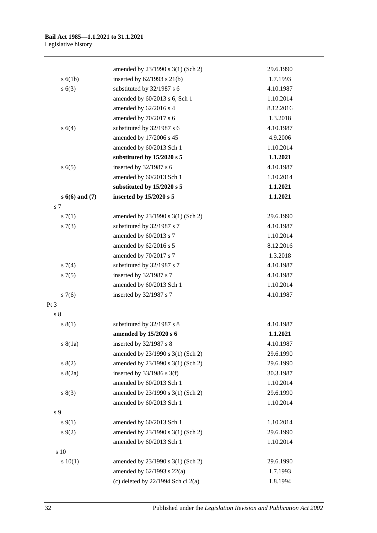|                  | amended by 23/1990 s 3(1) (Sch 2)      | 29.6.1990 |
|------------------|----------------------------------------|-----------|
| s(6(1b))         | inserted by $62/1993$ s $21(b)$        | 1.7.1993  |
| s(6(3))          | substituted by 32/1987 s 6             | 4.10.1987 |
|                  | amended by 60/2013 s 6, Sch 1          | 1.10.2014 |
|                  | amended by 62/2016 s 4                 | 8.12.2016 |
|                  | amended by 70/2017 s 6                 | 1.3.2018  |
| s(4)             | substituted by 32/1987 s 6             | 4.10.1987 |
|                  | amended by 17/2006 s 45                | 4.9.2006  |
|                  | amended by 60/2013 Sch 1               | 1.10.2014 |
|                  | substituted by $15/2020$ s 5           | 1.1.2021  |
| s(6(5)           | inserted by 32/1987 s 6                | 4.10.1987 |
|                  | amended by 60/2013 Sch 1               | 1.10.2014 |
|                  | substituted by 15/2020 s 5             | 1.1.2021  |
| $s 6(6)$ and (7) | inserted by 15/2020 s 5                | 1.1.2021  |
| s 7              |                                        |           |
| s(7(1)           | amended by 23/1990 s 3(1) (Sch 2)      | 29.6.1990 |
| s(7(3))          | substituted by 32/1987 s 7             | 4.10.1987 |
|                  | amended by 60/2013 s 7                 | 1.10.2014 |
|                  | amended by 62/2016 s 5                 | 8.12.2016 |
|                  | amended by 70/2017 s 7                 | 1.3.2018  |
| $s \, 7(4)$      | substituted by 32/1987 s 7             | 4.10.1987 |
| $s \, 7(5)$      | inserted by 32/1987 s 7                | 4.10.1987 |
|                  | amended by 60/2013 Sch 1               | 1.10.2014 |
| $s \, 7(6)$      | inserted by 32/1987 s 7                | 4.10.1987 |
| Pt <sub>3</sub>  |                                        |           |
| s <sub>8</sub>   |                                        |           |
| s(1)             | substituted by 32/1987 s 8             | 4.10.1987 |
|                  | amended by 15/2020 s 6                 | 1.1.2021  |
| s(8(1a))         | inserted by 32/1987 s 8                | 4.10.1987 |
|                  | amended by 23/1990 s 3(1) (Sch 2)      | 29.6.1990 |
| 8(2)             | amended by 23/1990 s 3(1) (Sch 2)      | 29.6.1990 |
| s(2a)            | inserted by $33/1986$ s 3(f)           | 30.3.1987 |
|                  | amended by 60/2013 Sch 1               | 1.10.2014 |
| s(3)             | amended by 23/1990 s 3(1) (Sch 2)      | 29.6.1990 |
|                  | amended by 60/2013 Sch 1               | 1.10.2014 |
| s 9              |                                        |           |
| $s \, 9(1)$      | amended by 60/2013 Sch 1               | 1.10.2014 |
| $s \, 9(2)$      | amended by 23/1990 s 3(1) (Sch 2)      | 29.6.1990 |
|                  | amended by 60/2013 Sch 1               | 1.10.2014 |
| s 10             |                                        |           |
| 10(1)            | amended by 23/1990 s 3(1) (Sch 2)      | 29.6.1990 |
|                  | amended by $62/1993$ s $22(a)$         | 1.7.1993  |
|                  | (c) deleted by $22/1994$ Sch cl $2(a)$ | 1.8.1994  |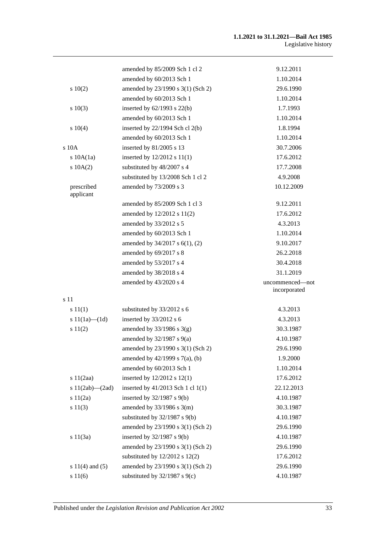#### **1.1.2021 to 31.1.2021—Bail Act 1985** Legislative history

|                         | amended by 85/2009 Sch 1 cl 2       | 9.12.2011                       |
|-------------------------|-------------------------------------|---------------------------------|
|                         | amended by 60/2013 Sch 1            | 1.10.2014                       |
| 10(2)                   | amended by 23/1990 s 3(1) (Sch 2)   | 29.6.1990                       |
|                         | amended by 60/2013 Sch 1            | 1.10.2014                       |
| 10(3)                   | inserted by $62/1993$ s $22(b)$     | 1.7.1993                        |
|                         | amended by 60/2013 Sch 1            | 1.10.2014                       |
| 10(4)                   | inserted by $22/1994$ Sch cl $2(b)$ | 1.8.1994                        |
|                         | amended by 60/2013 Sch 1            | 1.10.2014                       |
| $s$ 10 $A$              | inserted by 81/2005 s 13            | 30.7.2006                       |
| s 10A(1a)               | inserted by $12/2012$ s $11(1)$     | 17.6.2012                       |
| 10A(2)                  | substituted by 48/2007 s 4          | 17.7.2008                       |
|                         | substituted by 13/2008 Sch 1 cl 2   | 4.9.2008                        |
| prescribed<br>applicant | amended by 73/2009 s 3              | 10.12.2009                      |
|                         | amended by 85/2009 Sch 1 cl 3       | 9.12.2011                       |
|                         | amended by 12/2012 s 11(2)          | 17.6.2012                       |
|                         | amended by 33/2012 s 5              | 4.3.2013                        |
|                         | amended by 60/2013 Sch 1            | 1.10.2014                       |
|                         | amended by $34/2017$ s $6(1)$ , (2) | 9.10.2017                       |
|                         | amended by 69/2017 s 8              | 26.2.2018                       |
|                         | amended by 53/2017 s 4              | 30.4.2018                       |
|                         | amended by 38/2018 s 4              | 31.1.2019                       |
|                         | amended by 43/2020 s 4              | uncommenced—not<br>incorporated |
| s 11                    |                                     |                                 |
| s 11(1)                 | substituted by 33/2012 s 6          | 4.3.2013                        |
| s $11(1a)$ — $(1d)$     | inserted by 33/2012 s 6             | 4.3.2013                        |
| s 11(2)                 | amended by $33/1986$ s $3(g)$       | 30.3.1987                       |
|                         | amended by $32/1987$ s $9(a)$       | 4.10.1987                       |
|                         | amended by 23/1990 s 3(1) (Sch 2)   | 29.6.1990                       |
|                         | amended by 42/1999 s 7(a), (b)      | 1.9.2000                        |
|                         | amended by 60/2013 Sch 1            | 1.10.2014                       |
| s 11(2aa)               | inserted by $12/2012$ s $12(1)$     | 17.6.2012                       |
| s $11(2ab)$ — $(2ad)$   | inserted by 41/2013 Sch 1 cl 1(1)   | 22.12.2013                      |
| s 11(2a)                | inserted by 32/1987 s 9(b)          | 4.10.1987                       |
| s 11(3)                 | amended by $33/1986$ s $3(m)$       | 30.3.1987                       |
|                         | substituted by $32/1987$ s $9(b)$   | 4.10.1987                       |
|                         | amended by 23/1990 s 3(1) (Sch 2)   | 29.6.1990                       |
| s $11(3a)$              | inserted by $32/1987$ s $9(b)$      | 4.10.1987                       |
|                         | amended by 23/1990 s 3(1) (Sch 2)   | 29.6.1990                       |
|                         | substituted by $12/2012$ s $12(2)$  | 17.6.2012                       |
| s $11(4)$ and $(5)$     | amended by 23/1990 s 3(1) (Sch 2)   | 29.6.1990                       |
| s 11(6)                 | substituted by $32/1987$ s $9(c)$   | 4.10.1987                       |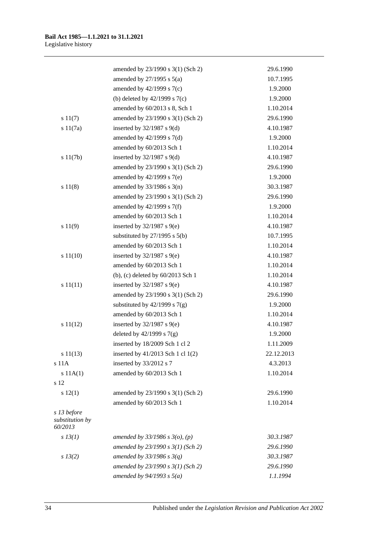|                                           | amended by 23/1990 s 3(1) (Sch 2)   | 29.6.1990  |
|-------------------------------------------|-------------------------------------|------------|
|                                           | amended by $27/1995$ s $5(a)$       | 10.7.1995  |
|                                           | amended by $42/1999$ s $7(c)$       | 1.9.2000   |
|                                           | (b) deleted by $42/1999$ s $7(c)$   | 1.9.2000   |
|                                           | amended by 60/2013 s 8, Sch 1       | 1.10.2014  |
| s 11(7)                                   | amended by 23/1990 s 3(1) (Sch 2)   | 29.6.1990  |
| s 11(7a)                                  | inserted by $32/1987$ s $9(d)$      | 4.10.1987  |
|                                           | amended by $42/1999$ s $7(d)$       | 1.9.2000   |
|                                           | amended by 60/2013 Sch 1            | 1.10.2014  |
| s 11(7b)                                  | inserted by $32/1987$ s $9(d)$      | 4.10.1987  |
|                                           | amended by 23/1990 s 3(1) (Sch 2)   | 29.6.1990  |
|                                           | amended by $42/1999$ s $7(e)$       | 1.9.2000   |
| s 11(8)                                   | amended by $33/1986$ s $3(n)$       | 30.3.1987  |
|                                           | amended by 23/1990 s 3(1) (Sch 2)   | 29.6.1990  |
|                                           | amended by $42/1999$ s $7(f)$       | 1.9.2000   |
|                                           | amended by 60/2013 Sch 1            | 1.10.2014  |
| s 11(9)                                   | inserted by $32/1987$ s $9(e)$      | 4.10.1987  |
|                                           | substituted by $27/1995$ s $5(b)$   | 10.7.1995  |
|                                           | amended by 60/2013 Sch 1            | 1.10.2014  |
| s 11(10)                                  | inserted by $32/1987$ s $9(e)$      | 4.10.1987  |
|                                           | amended by 60/2013 Sch 1            | 1.10.2014  |
|                                           | (b), (c) deleted by 60/2013 Sch 1   | 1.10.2014  |
| s 11(11)                                  | inserted by $32/1987$ s $9(e)$      | 4.10.1987  |
|                                           | amended by 23/1990 s 3(1) (Sch 2)   | 29.6.1990  |
|                                           | substituted by $42/1999$ s $7(g)$   | 1.9.2000   |
|                                           | amended by 60/2013 Sch 1            | 1.10.2014  |
| s 11(12)                                  | inserted by $32/1987$ s $9(e)$      | 4.10.1987  |
|                                           | deleted by $42/1999$ s $7(g)$       | 1.9.2000   |
|                                           | inserted by 18/2009 Sch 1 cl 2      | 1.11.2009  |
| s 11(13)                                  | inserted by 41/2013 Sch 1 cl 1(2)   | 22.12.2013 |
| s 11A                                     | inserted by 33/2012 s 7             | 4.3.2013   |
| s 11A(1)                                  | amended by 60/2013 Sch 1            | 1.10.2014  |
| s 12                                      |                                     |            |
| s 12(1)                                   | amended by 23/1990 s 3(1) (Sch 2)   | 29.6.1990  |
|                                           | amended by 60/2013 Sch 1            | 1.10.2014  |
| s 13 before<br>substitution by<br>60/2013 |                                     |            |
| $s$ 13(1)                                 | amended by $33/1986$ s $3(o)$ , (p) | 30.3.1987  |
|                                           | amended by $23/1990 s 3(1)$ (Sch 2) | 29.6.1990  |
| $s\,13(2)$                                | amended by $33/1986$ s $3(q)$       | 30.3.1987  |
|                                           | amended by 23/1990 s 3(1) (Sch 2)   | 29.6.1990  |
|                                           | amended by $94/1993 s 5(a)$         | 1.1.1994   |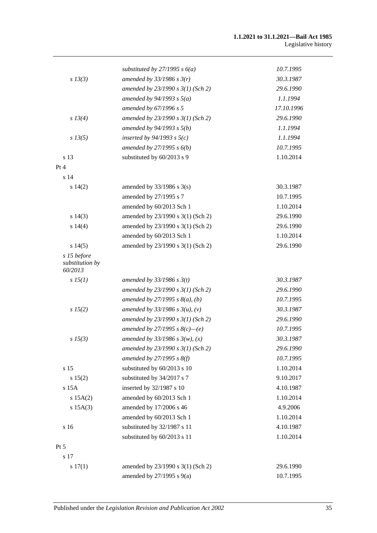|                                           | substituted by $27/1995 s 6(a)$     | 10.7.1995  |
|-------------------------------------------|-------------------------------------|------------|
| $s$ 13(3)                                 | amended by $33/1986$ s $3(r)$       | 30.3.1987  |
|                                           | amended by $23/1990 s 3(1)$ (Sch 2) | 29.6.1990  |
|                                           | amended by $94/1993$ s $5(a)$       | 1.1.1994   |
|                                           | amended by 67/1996 s 5              | 17.10.1996 |
| s 13(4)                                   | amended by $23/1990 s 3(1)$ (Sch 2) | 29.6.1990  |
|                                           | amended by $94/1993 s 5(b)$         | 1.1.1994   |
| $s\,13(5)$                                | inserted by $94/1993$ s $5(c)$      | 1.1.1994   |
|                                           | amended by $27/1995 s 6(b)$         | 10.7.1995  |
| s 13                                      | substituted by 60/2013 s 9          | 1.10.2014  |
| Pt 4                                      |                                     |            |
| s 14                                      |                                     |            |
| s 14(2)                                   | amended by $33/1986$ s $3(s)$       | 30.3.1987  |
|                                           | amended by 27/1995 s 7              | 10.7.1995  |
|                                           | amended by 60/2013 Sch 1            | 1.10.2014  |
| s 14(3)                                   | amended by 23/1990 s 3(1) (Sch 2)   | 29.6.1990  |
| s14(4)                                    | amended by 23/1990 s 3(1) (Sch 2)   | 29.6.1990  |
|                                           | amended by 60/2013 Sch 1            | 1.10.2014  |
| s 14(5)                                   | amended by 23/1990 s 3(1) (Sch 2)   | 29.6.1990  |
| s 15 before<br>substitution by<br>60/2013 |                                     |            |
| sI5(1)                                    | amended by $33/1986$ s $3(t)$       | 30.3.1987  |
|                                           | amended by $23/1990 s 3(1)$ (Sch 2) | 29.6.1990  |
|                                           | amended by $27/1995 s 8(a)$ , (b)   | 10.7.1995  |
| s 15(2)                                   | amended by $33/1986 s 3(u)$ , (v)   | 30.3.1987  |
|                                           | amended by $23/1990 s 3(1)$ (Sch 2) | 29.6.1990  |
|                                           | amended by 27/1995 s $8(c)$ —(e)    | 10.7.1995  |
| $s\,15(3)$                                | amended by $33/1986 s 3(w)$ , (x)   | 30.3.1987  |
|                                           | amended by 23/1990 s 3(1) (Sch 2)   | 29.6.1990  |
|                                           | amended by $27/1995 s 8(f)$         | 10.7.1995  |
| s 15                                      | substituted by 60/2013 s 10         | 1.10.2014  |
| s 15(2)                                   | substituted by 34/2017 s 7          | 9.10.2017  |
| s 15A                                     | inserted by 32/1987 s 10            | 4.10.1987  |
| s 15A(2)                                  | amended by 60/2013 Sch 1            | 1.10.2014  |
| $s$ 15A(3)                                | amended by 17/2006 s 46             | 4.9.2006   |
|                                           | amended by 60/2013 Sch 1            | 1.10.2014  |
| s 16                                      | substituted by 32/1987 s 11         | 4.10.1987  |
|                                           | substituted by 60/2013 s 11         | 1.10.2014  |
| Pt 5                                      |                                     |            |
| s 17                                      |                                     |            |
| s 17(1)                                   | amended by 23/1990 s 3(1) (Sch 2)   | 29.6.1990  |
|                                           | amended by $27/1995$ s $9(a)$       | 10.7.1995  |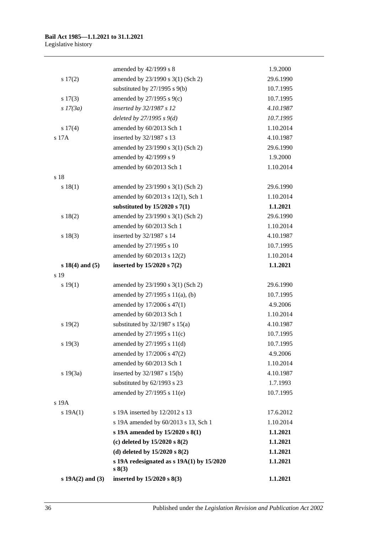|                     | amended by 42/1999 s 8                              | 1.9.2000  |
|---------------------|-----------------------------------------------------|-----------|
| 17(2)               | amended by 23/1990 s 3(1) (Sch 2)                   | 29.6.1990 |
|                     | substituted by $27/1995$ s $9(b)$                   | 10.7.1995 |
| $s\ 17(3)$          | amended by 27/1995 s 9(c)                           | 10.7.1995 |
| $s$ 17(3a)          | inserted by 32/1987 s 12                            | 4.10.1987 |
|                     | deleted by $27/1995 s 9(d)$                         | 10.7.1995 |
| s 17(4)             | amended by 60/2013 Sch 1                            | 1.10.2014 |
| s 17A               | inserted by 32/1987 s 13                            | 4.10.1987 |
|                     | amended by 23/1990 s 3(1) (Sch 2)                   | 29.6.1990 |
|                     | amended by 42/1999 s 9                              | 1.9.2000  |
|                     | amended by 60/2013 Sch 1                            | 1.10.2014 |
| s 18                |                                                     |           |
| s 18(1)             | amended by 23/1990 s 3(1) (Sch 2)                   | 29.6.1990 |
|                     | amended by 60/2013 s 12(1), Sch 1                   | 1.10.2014 |
|                     | substituted by $15/2020$ s $7(1)$                   | 1.1.2021  |
| s 18(2)             | amended by 23/1990 s 3(1) (Sch 2)                   | 29.6.1990 |
|                     | amended by 60/2013 Sch 1                            | 1.10.2014 |
| s 18(3)             | inserted by 32/1987 s 14                            | 4.10.1987 |
|                     | amended by 27/1995 s 10                             | 10.7.1995 |
|                     | amended by 60/2013 s 12(2)                          | 1.10.2014 |
| $s 18(4)$ and $(5)$ | inserted by 15/2020 s 7(2)                          | 1.1.2021  |
| s 19                |                                                     |           |
| s 19(1)             | amended by 23/1990 s 3(1) (Sch 2)                   | 29.6.1990 |
|                     | amended by 27/1995 s 11(a), (b)                     | 10.7.1995 |
|                     | amended by 17/2006 s 47(1)                          | 4.9.2006  |
|                     | amended by 60/2013 Sch 1                            | 1.10.2014 |
| 19(2)               | substituted by $32/1987$ s $15(a)$                  | 4.10.1987 |
|                     | amended by 27/1995 s 11(c)                          | 10.7.1995 |
| $s\ 19(3)$          | amended by 27/1995 s 11(d)                          | 10.7.1995 |
|                     | amended by 17/2006 s 47(2)                          | 4.9.2006  |
|                     | amended by 60/2013 Sch 1                            | 1.10.2014 |
| s 19(3a)            | inserted by 32/1987 s 15(b)                         | 4.10.1987 |
|                     | substituted by 62/1993 s 23                         | 1.7.1993  |
|                     | amended by 27/1995 s 11(e)                          | 10.7.1995 |
| s 19A               |                                                     |           |
| s 19A(1)            | s 19A inserted by 12/2012 s 13                      | 17.6.2012 |
|                     | s 19A amended by 60/2013 s 13, Sch 1                | 1.10.2014 |
|                     | s 19A amended by 15/2020 s 8(1)                     | 1.1.2021  |
|                     | (c) deleted by $15/2020$ s $8(2)$                   | 1.1.2021  |
|                     | (d) deleted by $15/2020$ s $8(2)$                   | 1.1.2021  |
|                     | s 19A redesignated as $s$ 19A(1) by 15/2020<br>s(3) | 1.1.2021  |
| $s 19A(2)$ and (3)  | inserted by 15/2020 s 8(3)                          | 1.1.2021  |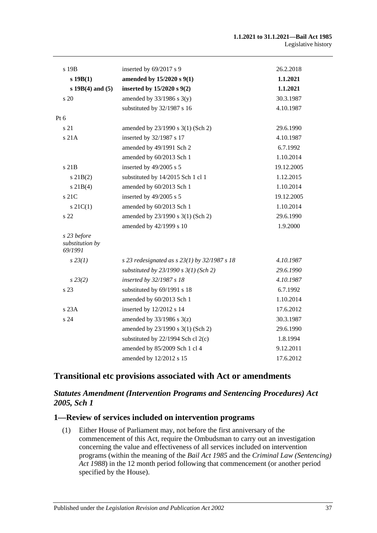| s 19B                                     | inserted by 69/2017 s 9                          | 26.2.2018  |
|-------------------------------------------|--------------------------------------------------|------------|
| $s$ 19 $B(1)$                             | amended by 15/2020 s 9(1)                        | 1.1.2021   |
| $s 19B(4)$ and $(5)$                      | inserted by $15/2020$ s $9(2)$                   | 1.1.2021   |
| s 20                                      | amended by $33/1986$ s $3(y)$                    | 30.3.1987  |
|                                           | substituted by 32/1987 s 16                      | 4.10.1987  |
| Pt 6                                      |                                                  |            |
| s 21                                      | amended by 23/1990 s 3(1) (Sch 2)                | 29.6.1990  |
| s 21A                                     | inserted by 32/1987 s 17                         | 4.10.1987  |
|                                           | amended by 49/1991 Sch 2                         | 6.7.1992   |
|                                           | amended by 60/2013 Sch 1                         | 1.10.2014  |
| s 21B                                     | inserted by 49/2005 s 5                          | 19.12.2005 |
| $s$ 21B(2)                                | substituted by 14/2015 Sch 1 cl 1                | 1.12.2015  |
| $s \, 21B(4)$                             | amended by 60/2013 Sch 1                         | 1.10.2014  |
| s 21C                                     | inserted by 49/2005 s 5                          | 19.12.2005 |
| $s \, 21C(1)$                             | amended by 60/2013 Sch 1                         | 1.10.2014  |
| s 22                                      | amended by 23/1990 s 3(1) (Sch 2)                | 29.6.1990  |
|                                           | amended by 42/1999 s 10                          | 1.9.2000   |
| s 23 before<br>substitution by<br>69/1991 |                                                  |            |
| $s\,23(1)$                                | s 23 redesignated as s $23(1)$ by $32/1987$ s 18 | 4.10.1987  |
|                                           | substituted by $23/1990 s 3(1)$ (Sch 2)          | 29.6.1990  |
| $s\,23(2)$                                | inserted by 32/1987 s 18                         | 4.10.1987  |
| s 23                                      | substituted by 69/1991 s 18                      | 6.7.1992   |
|                                           | amended by 60/2013 Sch 1                         | 1.10.2014  |
| s 23A                                     | inserted by 12/2012 s 14                         | 17.6.2012  |
| s 24                                      | amended by $33/1986$ s $3(z)$                    | 30.3.1987  |
|                                           | amended by 23/1990 s 3(1) (Sch 2)                | 29.6.1990  |
|                                           | substituted by $22/1994$ Sch cl $2(c)$           | 1.8.1994   |
|                                           | amended by 85/2009 Sch 1 cl 4                    | 9.12.2011  |
|                                           | amended by 12/2012 s 15                          | 17.6.2012  |

## **Transitional etc provisions associated with Act or amendments**

## *Statutes Amendment (Intervention Programs and Sentencing Procedures) Act 2005, Sch 1*

#### **1—Review of services included on intervention programs**

(1) Either House of Parliament may, not before the first anniversary of the commencement of this Act, require the Ombudsman to carry out an investigation concerning the value and effectiveness of all services included on intervention programs (within the meaning of the *[Bail Act](http://www.legislation.sa.gov.au/index.aspx?action=legref&type=act&legtitle=Bail%20Act%201985) 1985* and the *[Criminal Law \(Sentencing\)](http://www.legislation.sa.gov.au/index.aspx?action=legref&type=act&legtitle=Criminal%20Law%20(Sentencing)%20Act%201988)  Act [1988](http://www.legislation.sa.gov.au/index.aspx?action=legref&type=act&legtitle=Criminal%20Law%20(Sentencing)%20Act%201988)*) in the 12 month period following that commencement (or another period specified by the House).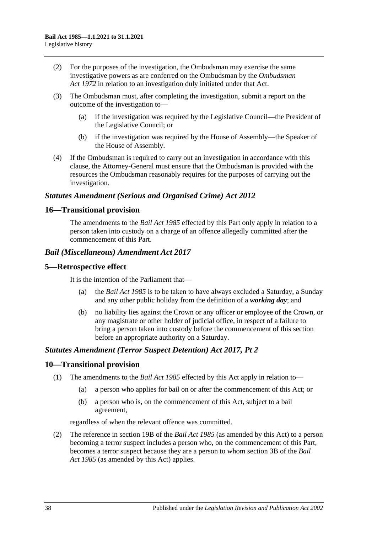- (2) For the purposes of the investigation, the Ombudsman may exercise the same investigative powers as are conferred on the Ombudsman by the *[Ombudsman](http://www.legislation.sa.gov.au/index.aspx?action=legref&type=act&legtitle=Ombudsman%20Act%201972)  Act [1972](http://www.legislation.sa.gov.au/index.aspx?action=legref&type=act&legtitle=Ombudsman%20Act%201972)* in relation to an investigation duly initiated under that Act.
- (3) The Ombudsman must, after completing the investigation, submit a report on the outcome of the investigation to—
	- (a) if the investigation was required by the Legislative Council—the President of the Legislative Council; or
	- (b) if the investigation was required by the House of Assembly—the Speaker of the House of Assembly.
- (4) If the Ombudsman is required to carry out an investigation in accordance with this clause, the Attorney-General must ensure that the Ombudsman is provided with the resources the Ombudsman reasonably requires for the purposes of carrying out the investigation.

## *Statutes Amendment (Serious and Organised Crime) Act 2012*

### **16—Transitional provision**

The amendments to the *[Bail Act](http://www.legislation.sa.gov.au/index.aspx?action=legref&type=act&legtitle=Bail%20Act%201985) 1985* effected by this Part only apply in relation to a person taken into custody on a charge of an offence allegedly committed after the commencement of this Part.

#### *Bail (Miscellaneous) Amendment Act 2017*

#### **5—Retrospective effect**

It is the intention of the Parliament that—

- (a) the *[Bail Act](http://www.legislation.sa.gov.au/index.aspx?action=legref&type=act&legtitle=Bail%20Act%201985) 1985* is to be taken to have always excluded a Saturday, a Sunday and any other public holiday from the definition of a *working day*; and
- (b) no liability lies against the Crown or any officer or employee of the Crown, or any magistrate or other holder of judicial office, in respect of a failure to bring a person taken into custody before the commencement of this section before an appropriate authority on a Saturday.

#### *Statutes Amendment (Terror Suspect Detention) Act 2017, Pt 2*

#### **10—Transitional provision**

- (1) The amendments to the *[Bail Act](http://www.legislation.sa.gov.au/index.aspx?action=legref&type=act&legtitle=Bail%20Act%201985) 1985* effected by this Act apply in relation to—
	- (a) a person who applies for bail on or after the commencement of this Act; or
	- (b) a person who is, on the commencement of this Act, subject to a bail agreement,

regardless of when the relevant offence was committed.

(2) The reference in section 19B of the *[Bail Act](http://www.legislation.sa.gov.au/index.aspx?action=legref&type=act&legtitle=Bail%20Act%201985) 1985* (as amended by this Act) to a person becoming a terror suspect includes a person who, on the commencement of this Part, becomes a terror suspect because they are a person to whom section 3B of the *[Bail](http://www.legislation.sa.gov.au/index.aspx?action=legref&type=act&legtitle=Bail%20Act%201985)  Act [1985](http://www.legislation.sa.gov.au/index.aspx?action=legref&type=act&legtitle=Bail%20Act%201985)* (as amended by this Act) applies.